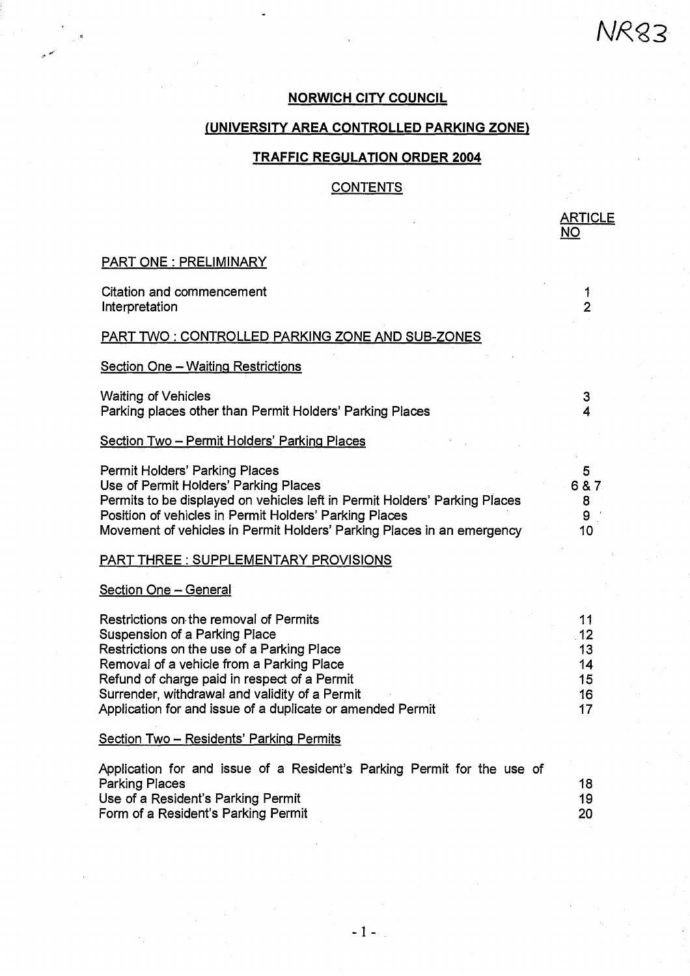# **NORWICH CITY COUNCIL**

NRQ3

**ARTICLE** 

# **(UNIVERSITY AREA CONTROLLED PARKING ZONE)**

# **TRAFFIC REGULATION ORDER 2004**

# **CONTENTS**

|                                                                                                                                                                                                                                                                                                                                    | <u>NO</u>                               |
|------------------------------------------------------------------------------------------------------------------------------------------------------------------------------------------------------------------------------------------------------------------------------------------------------------------------------------|-----------------------------------------|
| <b>PART ONE: PRELIMINARY</b>                                                                                                                                                                                                                                                                                                       |                                         |
| <b>Citation and commencement</b><br>Interpretation                                                                                                                                                                                                                                                                                 | 1<br>$\overline{2}$                     |
| <b>PART TWO: CONTROLLED PARKING ZONE AND SUB-ZONES</b>                                                                                                                                                                                                                                                                             |                                         |
| <b>Section One - Waiting Restrictions</b>                                                                                                                                                                                                                                                                                          |                                         |
| <b>Waiting of Vehicles</b><br>Parking places other than Permit Holders' Parking Places                                                                                                                                                                                                                                             | 3<br>4                                  |
| Section Two - Permit Holders' Parking Places                                                                                                                                                                                                                                                                                       |                                         |
| <b>Permit Holders' Parking Places</b><br>Use of Permit Holders' Parking Places<br>Permits to be displayed on vehicles left in Permit Holders' Parking Places<br>Position of vehicles in Permit Holders' Parking Places<br>Movement of vehicles in Permit Holders' Parking Places in an emergency                                   | 5<br>6 & 7<br>8<br>9<br>10              |
| <b>PART THREE: SUPPLEMENTARY PROVISIONS</b>                                                                                                                                                                                                                                                                                        |                                         |
| <b>Section One - General</b>                                                                                                                                                                                                                                                                                                       |                                         |
| Restrictions on the removal of Permits<br>Suspension of a Parking Place<br>Restrictions on the use of a Parking Place<br>Removal of a vehicle from a Parking Place<br>Refund of charge paid in respect of a Permit<br>Surrender, withdrawal and validity of a Permit<br>Application for and issue of a duplicate or amended Permit | 11<br>.12<br>13<br>14<br>15<br>16<br>17 |
| <u> Section Two – Residents' Parking Permits</u>                                                                                                                                                                                                                                                                                   |                                         |
| Application for and issue of a Resident's Parking Permit for the use of<br><b>Parking Places</b><br>Use of a Resident's Parking Permit<br>Form of a Resident's Parking Permit                                                                                                                                                      | 18<br>19<br>20                          |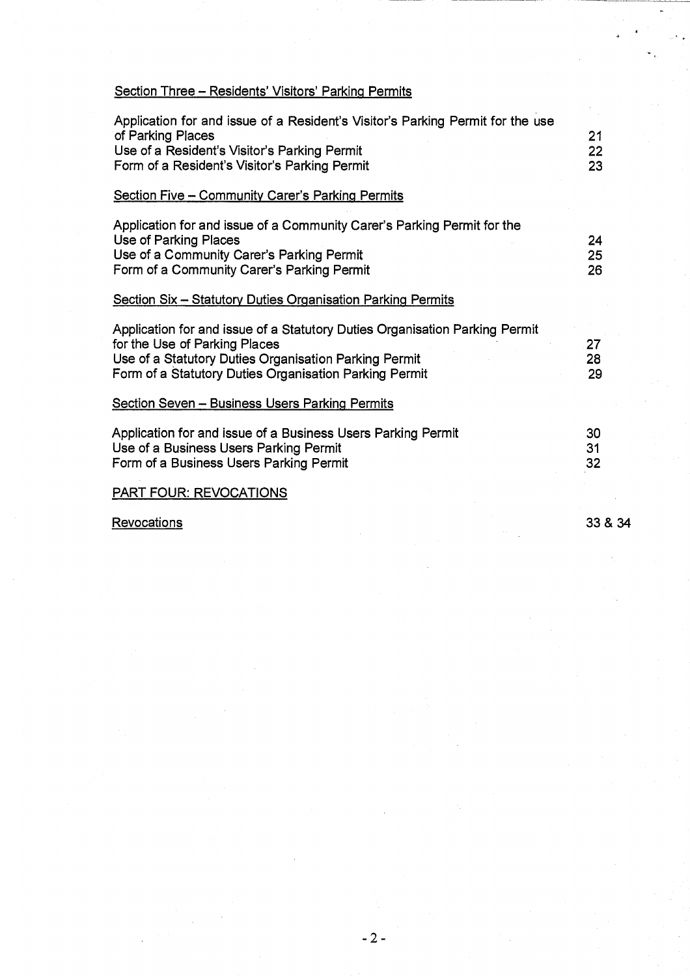# Section Three — Residents' Visitors' Parking Permits

| Application for and issue of a Resident's Visitor's Parking Permit for the use |    |
|--------------------------------------------------------------------------------|----|
| of Parking Places                                                              | 21 |
| Use of a Resident's Visitor's Parking Permit                                   | 22 |
| Form of a Resident's Visitor's Parking Permit                                  | 23 |
|                                                                                |    |
| Section Five - Community Carer's Parking Permits                               |    |
| Application for and issue of a Community Carer's Parking Permit for the        |    |
| Use of Parking Places                                                          | 24 |
| Use of a Community Carer's Parking Permit                                      | 25 |
| Form of a Community Carer's Parking Permit                                     | 26 |
|                                                                                |    |
| <b>Section Six - Statutory Duties Organisation Parking Permits</b>             |    |
| Application for and issue of a Statutory Duties Organisation Parking Permit    |    |
| for the Use of Parking Places                                                  | 27 |
| Use of a Statutory Duties Organisation Parking Permit                          | 28 |
| Form of a Statutory Duties Organisation Parking Permit                         | 29 |
|                                                                                |    |
| <b>Section Seven - Business Users Parking Permits</b>                          |    |
| Application for and issue of a Business Users Parking Permit                   | 30 |
| Use of a Business Users Parking Permit                                         | 31 |
| Form of a Business Users Parking Permit                                        | 32 |
|                                                                                |    |
| <b>PART FOUR: REVOCATIONS</b>                                                  |    |

Revocations 33 & 34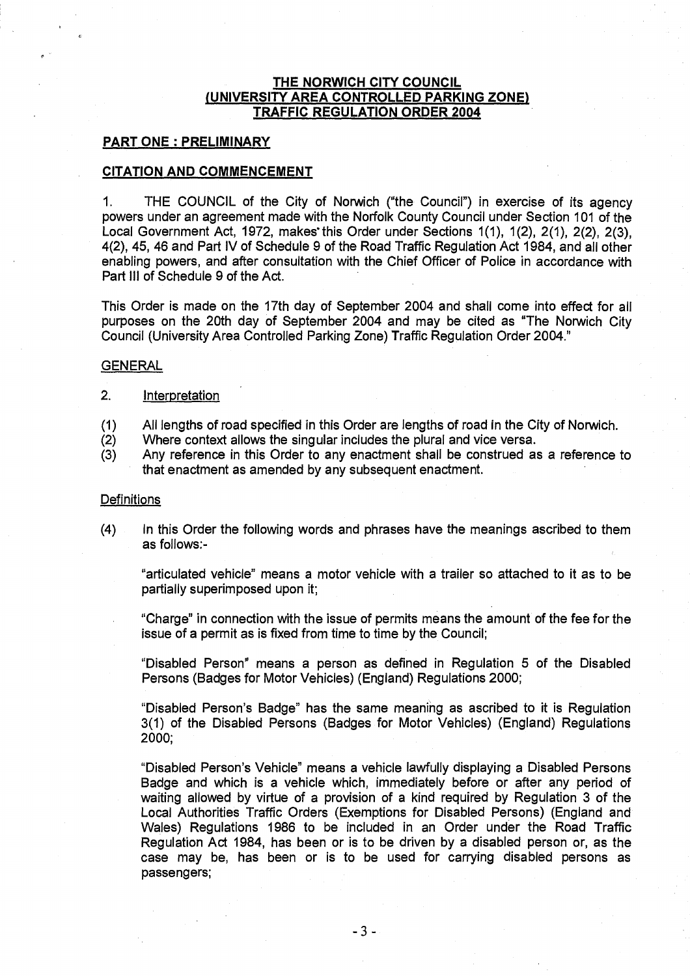# **THE NORWICH CITY COUNCIL (UNIVERSITY AREA CONTROLLED PARKING ZONE) TRAFFIC REGULATION ORDER 2004**

# **PART ONE : PRELIMINARY**

#### **CITATION AND COMMENCEMENT**

1. THE COUNCIL of the City of Norwich ("the Council") in exercise of its agency powers under an agreement made with the Norfolk County Council under Section 101 of the Local Government Act, 1972, makes this Order under Sections 1(1), 1(2), 2(1), 2(2), 2(3), 4(2), 45, 46 and Part IV of Schedule 9 of the Road Traffic Regulation Act 1984, and all other enabling powers, and after consultation with the Chief Officer of Police in accordance with Part III of Schedule 9 of the Act.

This Order is made on the 17th day of September 2004 and shall come into effect for all purposes on the 20th day of September 2004 and may be cited as "The Norwich City Council (University Area Controlled Parking Zone) Traffic Regulation Order 2004."

#### **GENERAL**

#### 2. Interpretation

- (1) All lengths of road specified in this Order are lengths of road in the City of Norwich.
- (2) Where context allows the singular includes the plural and vice versa.
- (3) Any reference in this Order to any enactment shall be construed as a reference to that enactment as amended by any subsequent enactment.

#### **Definitions**

(4) In this Order the following words and phrases have the meanings ascribed to them as follows:-

"articulated vehicle" means a motor vehicle with a trailer so attached to it as to be partially superimposed upon it;

"Charge" in connection with the issue of permits means the amount of the fee for the issue of a permit as is fixed from time to time by the Council;

"Disabled Person" means a person as defined in Regulation 5 of the Disabled Persons (Badges for Motor Vehicles) (England) Regulations 2000;

"Disabled Person's Badge" has the same meaning as ascribed to it is Regulation 3(1) of the Disabled Persons (Badges for Motor Vehicles) (England) Regulations 2000;

"Disabled Person's Vehicle" means a vehicle lawfully displaying a Disabled Persons Badge and which is a vehicle which, immediately before or after any period of waiting allowed by virtue of a provision of a kind required by Regulation 3 of the Local Authorities Traffic Orders (Exemptions for Disabled Persons) (England and Wales) Regulations 1986 to be included in an Order under the Road Traffic Regulation Act 1984, has been or is to be driven by a disabled person or, as the case may be, has been or is to be used for carrying disabled persons as passengers;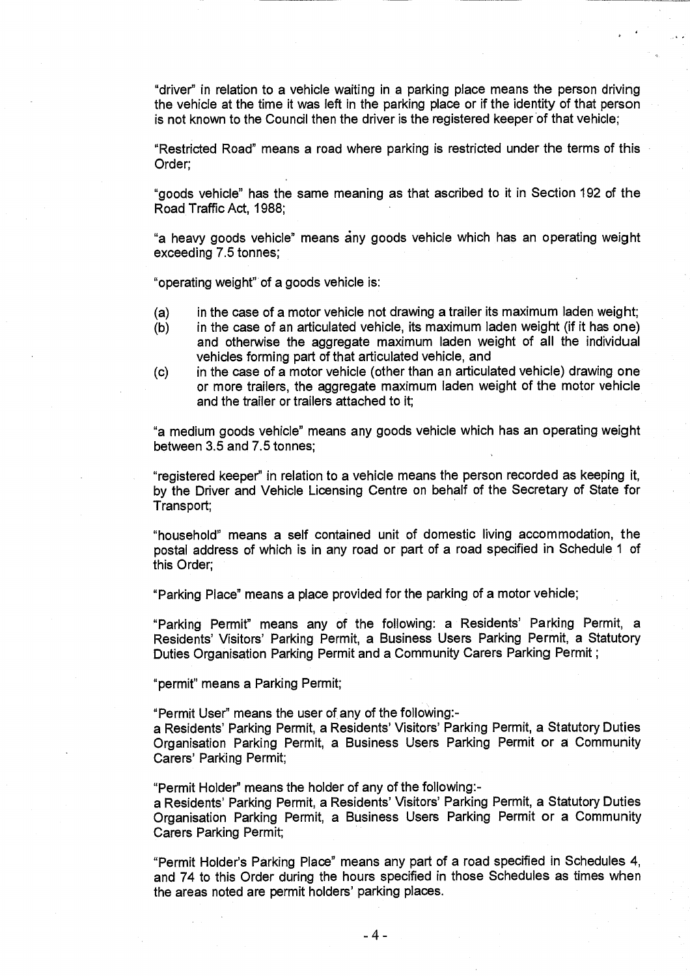"driver" in relation to a vehicle waiting in a parking place means the person driving the vehicle at the time it was left in the parking place or if the identity of that person is not known to the Council then the driver is the registered keeper of that vehicle;

"Restricted Road" means a road where parking is restricted under the terms of this Order;

"goods vehicle" has the same meaning as that ascribed to it in Section 192 of the Road Traffic Act, 1988;

"a heavy goods vehicle" means iny goods vehicle which has an operating weight exceeding 7.5 tonnes;

"operating weight" of a goods vehicle is:

- (a) in the case of a motor vehicle not drawing a trailer its maximum laden weight;
- (b) in the case of an articulated vehicle, its maximum laden weight (if it has one) and otherwise the aggregate maximum laden weight of all the individual vehicles forming part of that articulated vehicle, and
- (c) in the case of a motor vehicle (other than an articulated vehicle) drawing one or more trailers, the aggregate maximum laden weight of the motor vehicle and the trailer or trailers attached to it;

"a medium goods vehicle" means any goods vehicle which has an operating weight between 3.5 and 7.5 tonnes;

"registered keeper" in relation to a vehicle means the person recorded as keeping it, by the Driver and Vehicle Licensing Centre on behalf of the Secretary of State for Transport;

"household" means a self contained unit of domestic living accommodation, the postal address of which is in any road or part of a road specified in Schedule 1 of this Order;

"Parking Place" means a place provided for the parking of a motor vehicle;

"Parking Permit" means any of the following: a Residents' Parking Permit, a Residents' Visitors' Parking Permit, a Business Users Parking Permit, a Statutory Duties Organisation Parking Permit and a Community Carers Parking Permit ;

"permit" means a Parking Permit;

"Permit User" means the user of any of the following:-

a Residents' Parking Permit, a Residents' Visitors' Parking Permit, a Statutory Duties Organisation Parking Permit, a Business Users Parking Permit or a Community Carers' Parking Permit;

"Permit Holder" means the holder of any of the following:-

a Residents' Parking Permit, a Residents' Visitors' Parking Permit, a Statutory Duties Organisation Parking Permit, a Business Users Parking Permit or a Community Carers Parking Permit;

"Permit Holder's Parking Place" means any part of a road specified in Schedules 4, and 74 to this Order during the hours specified in those Schedules as times when the areas noted are permit holders' parking places.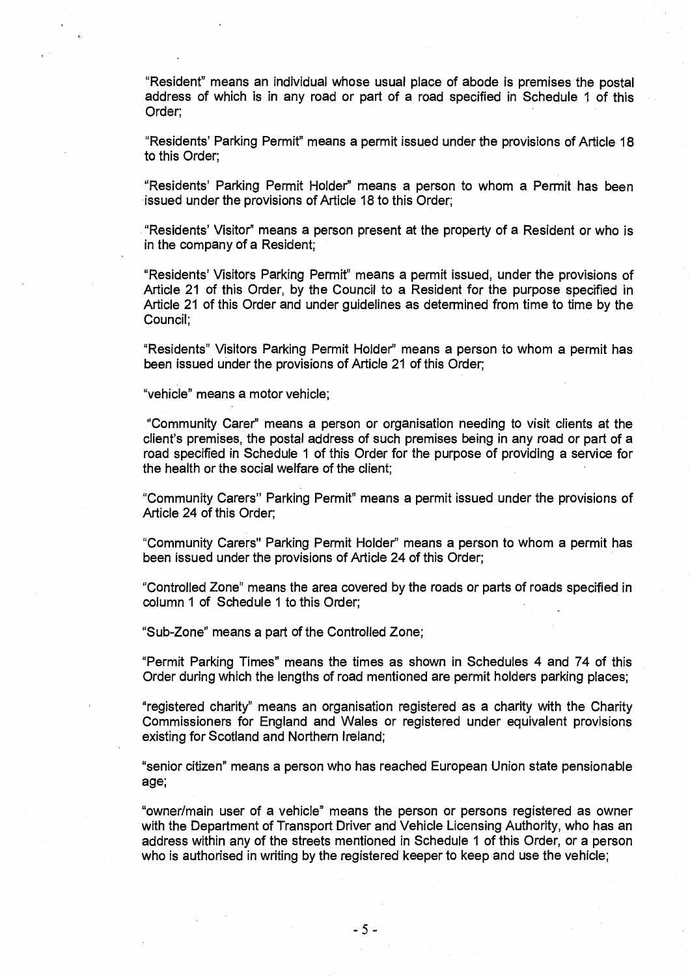"Resident" means an individual whose usual place of abode is premises the postal address of which is in any road or part of a road specified in Schedule 1 of this Order;

"Residents' Parking Permit" means a permit issued under the provisions of Article 18 to this Order;

"Residents' Parking Permit Holder" means a person to whom a Permit has been issued under the provisions of Article 18 to this Order;

"Residents' Visitor" means a person present at the property of a Resident or who is in the company of a Resident;

"Residents' Visitors Parking Permit" means a permit issued, under the provisions of Article 21 of this Order, by the Council to a Resident for the purpose specified in Article 21 of this Order and under guidelines as determined from time to time by the Council;

"Residents" Visitors Parking Permit Holder" means a person to whom a permit has been issued under the provisions of Article 21 of this Order;

"vehicle" means a motor vehicle;

"Community Carer" means a person or organisation needing to visit clients at the client's premises, the postal address of such premises being in any road or part of a road specified in Schedule 1 of this Order for the purpose of providing a service for the health or the social welfare of the client;

"Community Carers" Parking Permit" means a permit issued under the provisions of Article 24 of this Order;

"Community Carers" Parking Permit Holder" means a person to whom a permit has been issued under the provisions of Article 24 of this Order;

"Controlled Zone" means the area covered by the roads or parts of roads specified in column 1 of Schedule 1 to this Order;

"Sub-Zone" means a part of the Controlled Zone;

"Permit Parking Times" means the times as shown in Schedules 4 and 74 of this Order during which the lengths of road mentioned are permit holders parking places;

"registered charity" means an organisation registered as a charity with the Charity Commissioners for England and Wales or registered under equivalent provisions existing for Scotland and Northern Ireland;

"senior citizen" means a person who has reached European Union state pensionable age;

"owner/main user of a vehicle" means the person or persons registered as owner with the Department of Transport Driver and Vehicle Licensing Authority, who has an address within any of the streets mentioned in Schedule 1 of this Order, or a person who is authorised in writing by the registered keeper to keep and use the vehicle;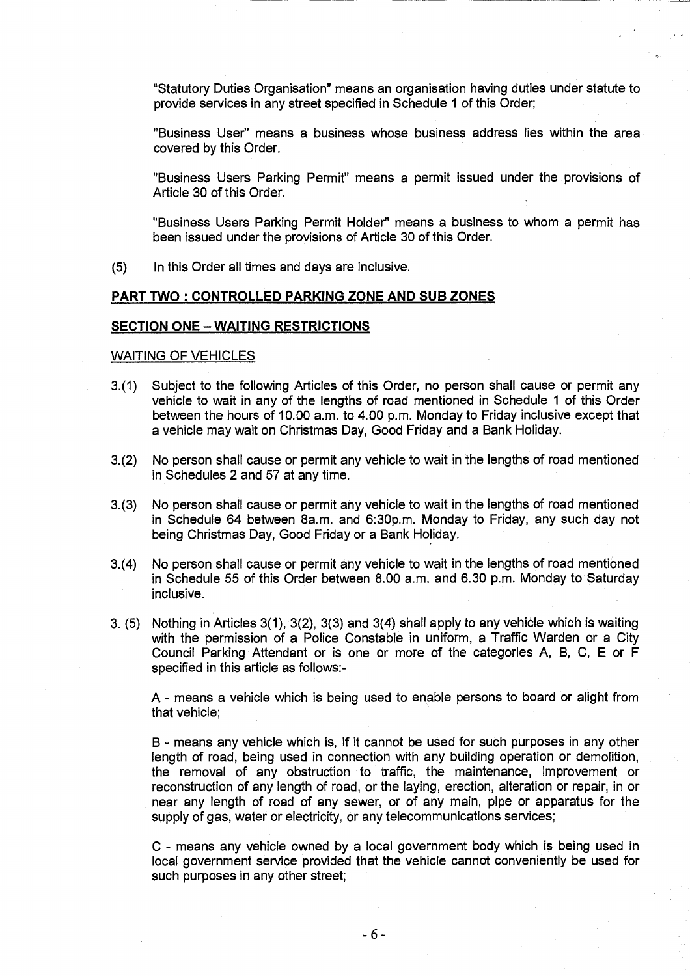"Statutory Duties Organisation" means an organisation having duties under statute to provide services in any street specified in Schedule 1 of this Order;

"Business User" means a business whose business address lies within the area covered by this Order.

"Business Users Parking Permit" means a permit issued under the provisions of Article 30 of this Order.

"Business Users Parking Permit Holder" means a business to whom a permit has been issued under the provisions of Article 30 of this Order.

(5) In this Order all times and days are inclusive.

# **PART TWO : CONTROLLED PARKING ZONE AND SUB ZONES**

#### **SECTION ONE — WAITING RESTRICTIONS**

# WAITING OF VEHICLES

- 3.(1) Subject to the following Articles of this Order, no person shall cause or permit any vehicle to wait in any of the lengths of road mentioned in Schedule 1 of this Order between the hours of 10.00 a.m. to 4.00 p.m. Monday to Friday inclusive except that a vehicle may wait on Christmas Day, Good Friday and a Bank Holiday.
- 3.(2) No person shall cause or permit any vehicle to wait in the lengths of road mentioned in Schedules 2 and 57 at any time.
- 3.(3) No person shall cause or permit any vehicle to wait in the lengths of road mentioned in Schedule 64 between 8a.m. and 6:30p.m. Monday to Friday, any such day not being Christmas Day, Good Friday or a Bank Holiday.
- 3.(4) No person shall cause or permit any vehicle to wait in the lengths of road mentioned in Schedule 55 of this Order between 8.00 a.m. and 6.30 p.m. Monday to Saturday inclusive.
- 3. (5) Nothing in Articles 3(1), 3(2), 3(3) and 3(4) shall apply to any vehicle which is waiting with the permission of a Police Constable in uniform, a Traffic Warden or a City Council Parking Attendant or is one or more of the categories A, B, C, E or F specified in this article as follows:-

A - means a vehicle which is being used to enable persons to board or alight from that vehicle;

B - means any vehicle which is, if it cannot be used for such purposes in any other length of road, being used in connection with any building operation or demolition, the removal of any obstruction to traffic, the maintenance, improvement or reconstruction of any length of road, or the laying, erection, alteration or repair, in or near any length of road of any sewer, or of any main, pipe or apparatus for the supply of gas, water or electricity, or any telecommunications services;

C - means any vehicle owned by a local government body which is being used in local government service provided that the vehicle cannot conveniently be used for such purposes in any other street;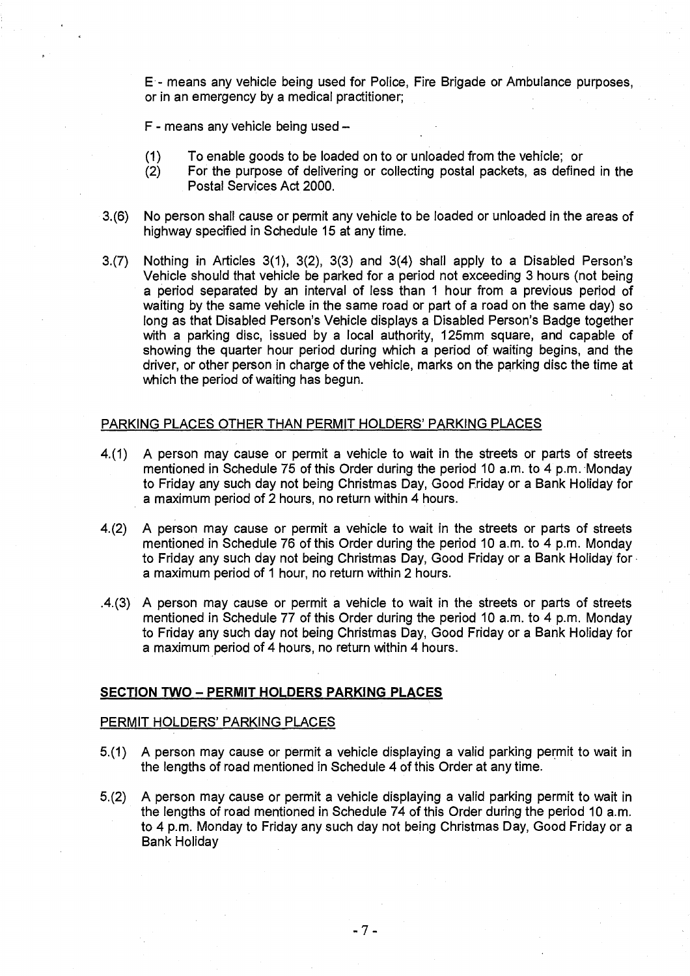**E -** means any vehicle being used for Police, Fire Brigade or Ambulance purposes, or in an emergency by a medical practitioner;

F - means any vehicle being used —

- (1) To enable goods to be loaded on to or unloaded from the vehicle; or
- (2) For the purpose of delivering or collecting postal packets, as defined in the Postal Services Act 2000.
- 3.(6) No person shall cause or permit any vehicle to be loaded or unloaded in the areas of highway specified in Schedule 15 at any time.
- 3.(7) Nothing in Articles 3(1), 3(2), 3(3) and 3(4) shall apply to a Disabled Person's Vehicle should that vehicle be parked for a period not exceeding 3 hours (not being a period separated by an interval of less than 1 hour from a previous period of waiting by the same vehicle in the same road or part of a road on the same day) so long as that Disabled Person's Vehicle displays a Disabled Person's Badge together with a parking disc, issued by a local authority, 125mm square, and capable of showing the quarter hour period during which a period of waiting begins, and the driver, or other person in charge of the vehicle, marks on the parking disc the time at which the period of waiting has begun.

#### PARKING PLACES OTHER THAN PERMIT HOLDERS' PARKING PLACES

- 4.(1) A person may cause or permit a vehicle to wait in the streets or parts of streets mentioned in Schedule 75 of this Order during the period 10  $a$ .m. to 4 p.m. Monday to Friday any such day not being Christmas Day, Good Friday or a Bank Holiday for a maximum period of 2 hours, no return within 4 hours.
- 4.(2) A person may cause or permit a vehicle to wait in the streets or parts of streets mentioned in Schedule 76 of this Order during the period 10 a.m . to 4 p.m. Monday to Friday any such day not being Christmas Day, Good Friday or a Bank Holiday for a maximum period of 1 hour, no return within 2 hours.
- .4.(3) A person may cause or permit a vehicle to wait in the streets or parts of streets mentioned in Schedule 77 of this Order during the period 10 a.m. to 4 p.m. Monday to Friday any such day not being Christmas Day, Good Friday or a Bank Holiday for a maximum period of 4 hours, no return within 4 hours.

# **SECTION TWO — PERMIT HOLDERS PARKING PLACES**

#### PERMIT HOLDERS' PARKING PLACES

- 5.(1) A person may cause or permit a vehicle displaying a valid parking permit to wait in the lengths of road mentioned in Schedule 4 of this Order at any time.
- 5.(2) A person may cause or permit a vehicle displaying a valid parking permit to wait in the lengths of road mentioned in Schedule 74 of this Order during the period 10 a.m. to 4 p.m. Monday to Friday any such day not being Christmas Day, Good Friday or a Bank Holiday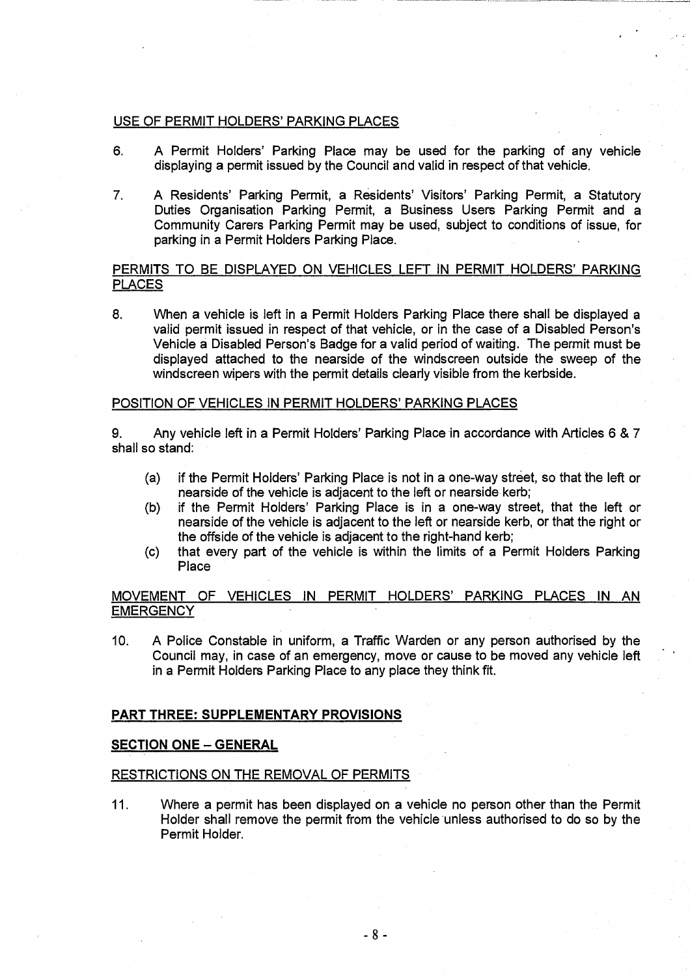# USE OF PERMIT HOLDERS' PARKING PLACES

- 6. A Permit Holders' Parking Place may be used for the parking of any vehicle displaying a permit issued by the Council and valid in respect of that vehicle.
- 7. A Residents' Parking Permit, a Residents' Visitors' Parking Permit, a Statutory Duties Organisation Parking Permit, a Business Users Parking Permit and a Community Carers Parking Permit may be used, subject to conditions of issue, for parking in a Permit Holders Parking Place.

# PERMITS TO BE DISPLAYED ON VEHICLES LEFT IN PERMIT HOLDERS' PARKING PLACES

8. When a vehicle is left in a Permit Holders Parking Place there shall be displayed a valid permit issued in respect of that vehicle, or in the case of a Disabled Person's Vehicle a Disabled Person's Badge for a valid period of waiting. The permit must be displayed attached to the nearside of the windscreen outside the sweep of the windscreen wipers with the permit details clearly visible from the kerbside.

# POSITION OF VEHICLES IN PERMIT HOLDERS' PARKING PLACES

9. Any vehicle left in a Permit Holders' Parking Place in accordance with Articles 6 & 7 shall so stand:

- (a) if the Permit Holders' Parking Place is not in a one-way street, so that the left or nearside of the vehicle is adjacent to the left or nearside kerb;
- (b) if the Permit Holders' Parking Place is in a one-way street, that the left or nearside of the vehicle is adjacent to the left or nearside kerb, or that the right or the offside of the vehicle is adjacent to the right-hand kerb;
- (c) that every part of the vehicle is within the limits of a Permit Holders Parking Place

# MOVEMENT OF VEHICLES IN PERMIT HOLDERS' PARKING PLACES IN AN **EMERGENCY**

10. A Police Constable in uniform, a Traffic Warden or any person authorised by the Council may, in case of an emergency, move or cause to be moved any vehicle left in a Permit Holders Parking Place to any place they think fit.

# **PART THREE: SUPPLEMENTARY PROVISIONS**

#### **SECTION ONE — GENERAL**

## RESTRICTIONS ON THE REMOVAL OF PERMITS

11. Where a permit has been displayed on a vehicle no person other than the Permit Holder shall remove the permit from the vehicle unless authorised to do so by the Permit Holder.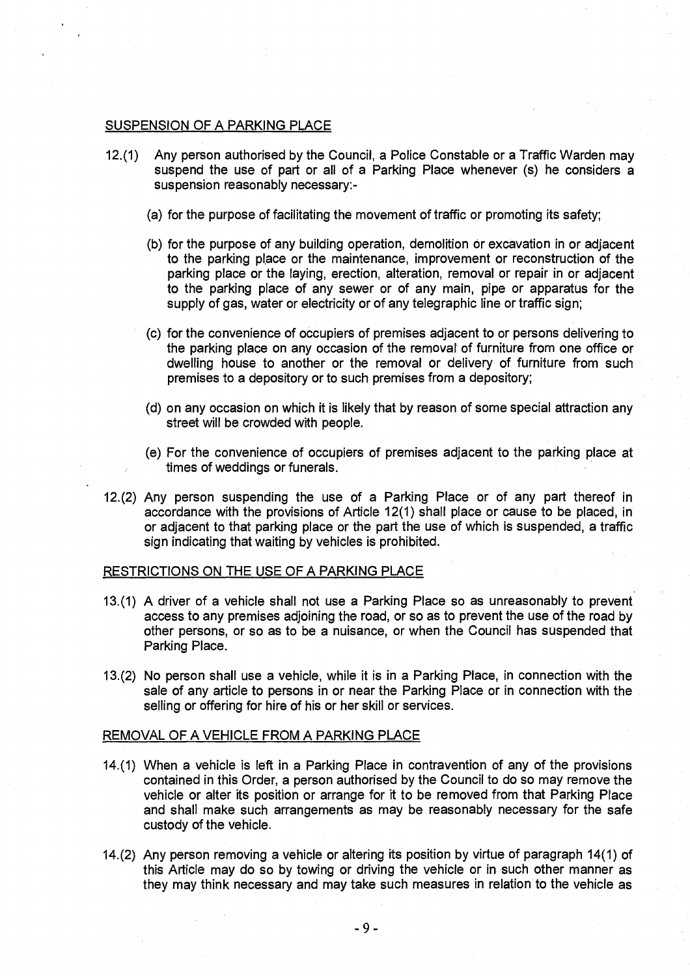# SUSPENSION OF A PARKING PLACE

- 12.(1) Any person authorised by the Council, a Police Constable or a Traffic Warden may suspend the use of part or all of a Parking Place whenever (s) he considers a suspension reasonably necessary:-
	- (a) for the purpose of facilitating the movement of traffic or promoting its safety;
	- (b) for the purpose of any building operation, demolition or excavation in or adjacent to the parking place or the maintenance, improvement or reconstruction of the parking place or the laying, erection, alteration, removal or repair in or adjacent to the parking place of any sewer or of any main, pipe or apparatus for the supply of gas, water or electricity or of any telegraphic line or traffic sign;
	- (c) for the convenience of occupiers of premises adjacent to or persons delivering to the parking place on any occasion of the removal of furniture from one office or dwelling house to another or the removal or delivery of furniture from such premises to a depository or to such premises from a depository;
	- (d) on any occasion on which it is likely that by reason of some special attraction any street will be crowded with people.
	- (e) For the convenience of occupiers of premises adjacent to the parking place at times of weddings or funerals.
- 12.(2) Any person suspending the use of a Parking Place or of any part thereof in accordance with the provisions of Article 12(1) shall place or cause to be placed, in or adjacent to that parking place or the part the use of which is suspended, a traffic sign indicating that waiting by vehicles is prohibited.

# RESTRICTIONS ON THE USE OF A PARKING PLACE

- 13.(1) A driver of a vehicle shall not use a Parking Place so as unreasonably to prevent access to any premises adjoining the road, or so as to prevent the use of the road by other persons, or so as to be a nuisance, or when the Council has suspended that Parking Place.
- 13.(2) No person shall use a vehicle, while it is in a Parking Place, in connection with the sale of any article to persons in or near the Parking Place or in connection with the selling or offering for hire of his or her skill or services.

#### REMOVAL OF A VEHICLE FROM A PARKING PLACE

- 14.(1) When a vehicle is left in a Parking Place in contravention of any of the provisions contained in this Order, a person authorised by the Council to do so may remove the vehicle or alter its position or arrange for it to be removed from that Parking Place and shall make such arrangements as may be reasonably necessary for the safe custody of the vehicle.
- 14.(2) Any person removing a vehicle or altering its position by virtue of paragraph 14(1) of this Article may do so by towing or driving the vehicle or in such other manner as they may think necessary and may take such measures in relation to the vehicle as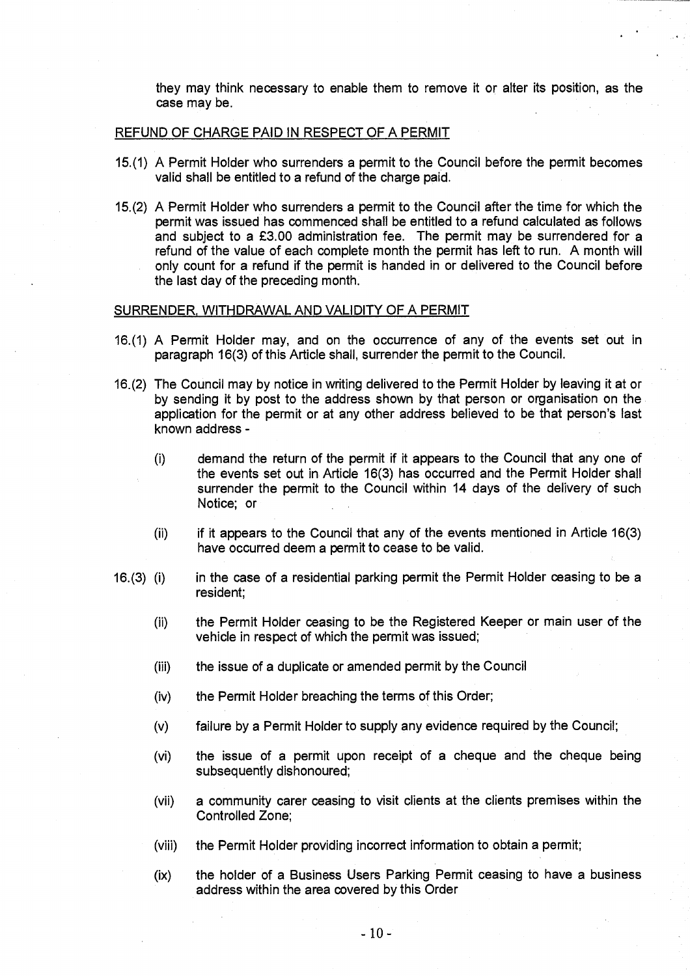they may think necessary to enable them to remove it or alter its position, as the case may be.

#### REFUND OF CHARGE PAID IN RESPECT OF A PERMIT

- 15.(1) A Permit Holder who surrenders a permit to the Council before the permit becomes valid shall be entitled to a refund of the charge paid.
- 15.(2) A Permit Holder who surrenders a permit to the Council after the time for which the permit was issued has commenced shall be entitled to a refund calculated as follows and subject to a £3.00 administration fee. The permit may be surrendered for a refund of the value of each complete month the permit has left to run. A month will only count for a refund if the permit is handed in or delivered to the Council before the last day of the preceding month.

# SURRENDER, WITHDRAWAL AND VALIDITY OF A PERMIT

- 16.(1) A Permit Holder may, and on the occurrence of any of the events set out in paragraph 16(3) of this Article shall, surrender the permit to the Council.
- 16.(2) The Council may by notice in writing delivered to the Permit Holder by leaving it at or by sending it by post to the address shown by that person or organisation on the application for the permit or at any other address believed to be that person's last known address -
	- (1) demand the return of the permit if it appears to the Council that any one of the events set out in Article 16(3) has occurred and the Permit Holder shall surrender the permit to the Council within 14 days of the delivery of such Notice; or
	- $(i)$  if it appears to the Council that any of the events mentioned in Article 16(3) have occurred deem a permit to cease to be valid.
- 16.(3) (i) in the case of a residential parking permit the Permit Holder ceasing to be a resident;
	- (ii) the Permit Holder ceasing to be the Registered Keeper or main user of the vehicle in respect of which the permit was issued;
	- (iii) the issue of a duplicate or amended permit by the Council
	- (iv) the Permit Holder breaching the terms of this Order;
	- (v) failure by a Permit Holder to supply any evidence required by the Council;
	- (vi) the issue of a permit upon receipt of a cheque and the cheque being subsequently dishonoured;
	- (vii) a community carer ceasing to visit clients at the clients premises within the Controlled Zone;
	- (viii) the Permit Holder providing incorrect information to obtain a permit;
	- (ix) the holder of a Business Users Parking Permit ceasing to have a business address within the area covered by this Order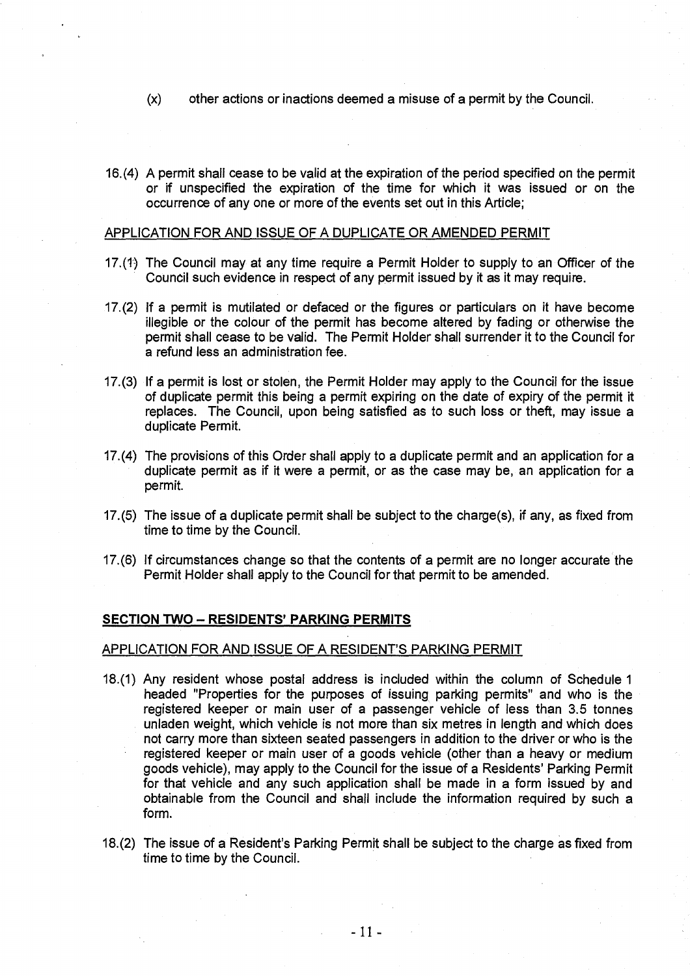- (x) other actions or inactions deemed a misuse of a permit by the Council.
- 16.(4) A permit shall cease to be valid at the expiration of the period specified on the permit or if unspecified the expiration of the time for which it was issued or on the occurrence of any one or more of the events set out in this Article;

#### APPLICATION FOR AND ISSUE OF A DUPLICATE OR AMENDED PERMIT

- 17.(1) The Council may at any time require a Permit Holder to supply to an Officer of the Council such evidence in respect of any permit issued by it as it may require.
- 17.(2) If a permit is mutilated or defaced or the figures or particulars on it have become illegible or the colour of the permit has become altered by fading or otherwise the permit shall cease to be valid. The Permit Holder shall surrender it to the Council for a refund less an administration fee.
- 17.(3) If a permit is lost or stolen, the Permit Holder may apply to the Council for the issue of duplicate permit this being a permit expiring on the date of expiry of the permit it replaces. The Council, upon being satisfied as to such loss or theft, may issue a duplicate Permit.
- 17.(4) The provisions of this Order shall apply to a duplicate permit and an application for a duplicate permit as if it were a permit, or as the case may be, an application for a permit.
- 17.(5) The issue of a duplicate permit shall be subject to the charge(s), if any, as fixed from time to time by the Council.
- 17.(6) If circumstances change so that the contents of a permit are no longer accurate the Permit Holder shall apply to the Council for that permit to be amended.

#### **SECTION TWO — RESIDENTS' PARKING PERMITS**

# APPLICATION FOR AND ISSUE OF A RESIDENT'S PARKING PERMIT

- 18.(1) Any resident whose postal address is included within the column of Schedule 1 headed "Properties for the purposes of issuing parking permits" and who is the registered keeper or main user of a passenger vehicle of less than 3.5 tonnes unladen weight, which vehicle is not more than six metres in length and which does not carry more than sixteen seated passengers in addition to the driver or who is the registered keeper or main user of a goods vehicle (other than a heavy or medium goods vehicle), may apply to the Council for the issue of a Residents' Parking Permit for that vehicle and any such application shall be made in a form issued by and obtainable from the Council and shall include the information required by such a form.
- 18.(2) The issue of a Resident's Parking Permit shall be subject to the charge as fixed from time to time by the Council.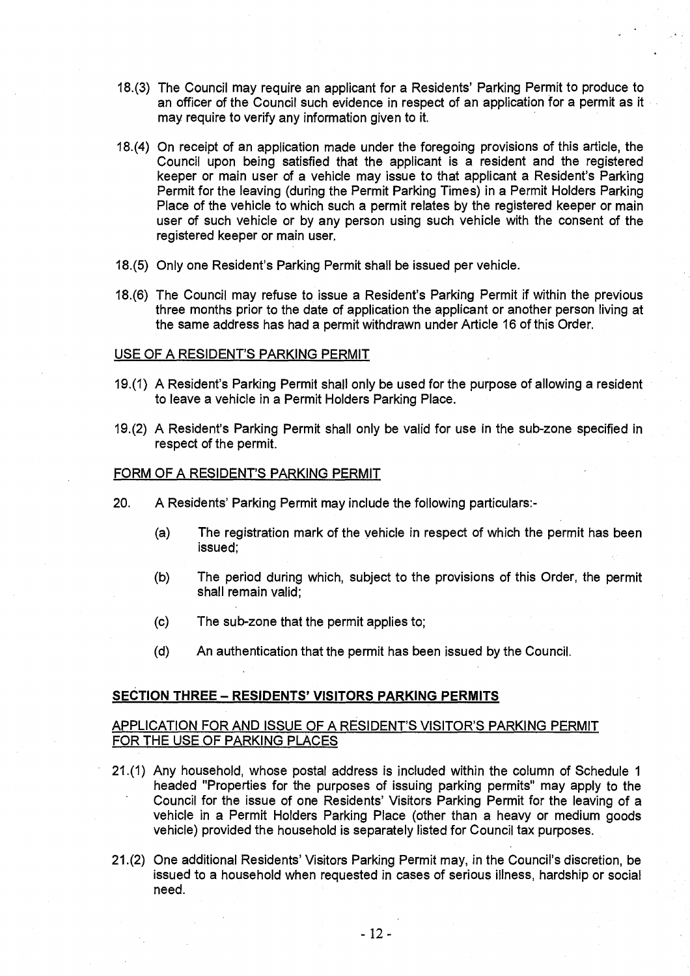- 18.(3) The Council may require an applicant for a Residents' Parking Permit to produce to an officer of the Council such evidence in respect of an application for a permit as it may require to verify any information given to it.
- 18.(4) On receipt of an application made under the foregoing provisions of this article, the Council upon being satisfied that the applicant is a resident and the registered keeper or main user of a vehicle may issue to that applicant a Resident's Parking Permit for the leaving (during the Permit Parking Times) in a Permit Holders Parking Place of the vehicle to which such a permit relates by the registered keeper or main user of such vehicle or by any person using such vehicle with the consent of the registered keeper or main user.
- 18.(5) Only one Resident's Parking Permit shall be issued per vehicle.
- 18.(6) The Council may refuse to issue a Resident's Parking Permit if within the previous three months prior to the date of application the applicant or another person living at the same address has had a permit withdrawn under Article 16 of this Order.

#### USE OF A RESIDENT'S PARKING PERMIT

- 19.(1) A Resident's Parking Permit shall only be used for the purpose of allowing a resident to leave a vehicle in a Permit Holders Parking Place.
- 19.(2) A Resident's Parking Permit shall only be valid for use in the sub-zone specified in respect of the permit.

# FORM OF A RESIDENT'S PARKING PERMIT

- 20. A Residents' Parking Permit may include the following particulars:-
	- (a) The registration mark of the vehicle in respect of which the permit has been issued;
	- (b) The period during which, subject to the provisions of this Order, the permit shall remain valid;
	- (c) The sub-zone that the permit applies to;
	- (d) An authentication that the permit has been issued by the Council.

# **SECTION THREE — RESIDENTS' VISITORS PARKING PERMITS**

# APPLICATION FOR AND ISSUE OF A RESIDENT'S VISITOR'S PARKING PERMIT FOR THE USE OF PARKING PLACES

- 21.(1) Any household, whose postal address is included within the column of Schedule 1 headed "Properties for the purposes of issuing parking permits" may apply to the Council for the issue of one Residents' Visitors Parking Permit for the leaving of a vehicle in a Permit Holders Parking Place (other than a heavy or medium goods vehicle) provided the household is separately listed for Council tax purposes.
- 21.(2) One additional Residents' Visitors Parking Permit may, in the Council's discretion, be issued to a household when requested in cases of serious illness, hardship or social need.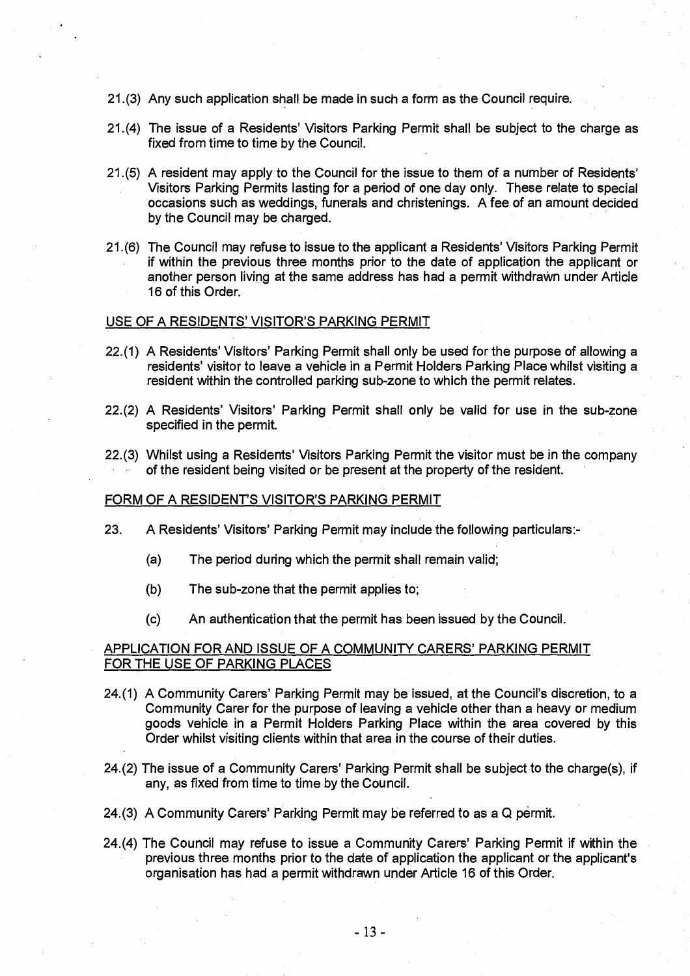- 21.(3) Any such application shall be made in such a form as the Council require.
- 21.(4) The issue of a Residents' Visitors Parking Permit shall be subject to the charge as fixed from time to time by the Council.
- 21.(5) A resident may apply to the Council for the issue to them of a number of Residents' Visitors Parking Permits lasting for a period of one day only. These relate to special occasions such as weddings, funerals and christenings. A fee of an amount decided by the Council may be charged.
- 21.(6) The Council may refuse to issue to the applicant a Residents' Visitors Parking Permit if within the previous three months prior to the date of application the applicant or another person living at the same address has had a permit withdrawn under Article 16 of this Order.

# USE OF A RESIDENTS' VISITOR'S PARKING PERMIT

- 22.(1) A Residents' Visitors' Parking Permit shall only be used for the purpose of allowing a residents' visitor to leave a vehicle in a Permit Holders Parking Place whilst visiting a resident within the controlled parking sub-zone to which the permit relates.
- 22.(2) A Residents' Visitors' Parking Permit shall only be valid for use in the sub-zone specified in the permit.
- 22.(3) Whilst using a Residents' Visitors Parking Permit the visitor must be in the company of the resident being visited or be present at the property of the resident.

# FORM OF A RESIDENT'S VISITOR'S PARKING PERMIT

- 23. A Residents' Visitors' Parking Permit may include the following particulars:-
	- (a) The period during which the permit shall remain valid;
	- (b) The sub-zone that the permit applies to;
	- (c) An authentication that the permit has been issued by the Council.

# APPLICATION FOR AND ISSUE OF A COMMUNITY CARERS' PARKING PERMIT FOR THE USE OF PARKING PLACES

- 24.(1) A Community Carers' Parking Permit may be issued, at the Council's discretion, to a Community Carer for the purpose of leaving a vehicle other than a heavy or medium goods vehicle in a Permit Holders Parking Place within the area covered by this Order whilst visiting clients within that area in the course of their duties.
- 24.(2) The issue of a Community Carers' Parking Permit shall be subject to the charge(s), if any, as fixed from time to time by the Council.
- 24.(3) A Community Carers' Parking Permit may be referred to as a Q permit.
- 24.(4) The Council may refuse to issue a Community Carers' Parking Permit if within the previous three months prior to the date of application the applicant or the applicant's organisation has had a permit withdrawn under Article 16 of this Order.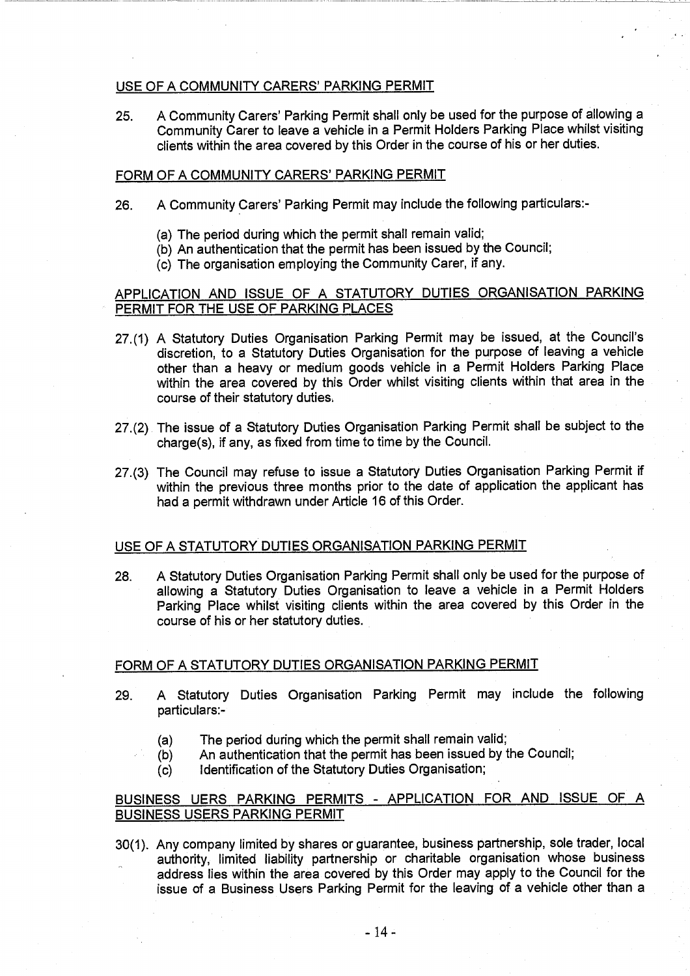# USE OF A COMMUNITY CARERS' PARKING PERMIT

25. A Community Carers' Parking Permit shall only be used for the purpose of allowing a Community Carer to leave a vehicle in a Permit Holders Parking Place whilst visiting clients within the area covered by this Order in the course of his or her duties.

# FORM OF A COMMUNITY CARERS' PARKING PERMIT

- 26. A Community Carers' Parking Permit may include the following particulars:-
	- (a) The period during which the permit shall remain valid;
	- (b) An authentication that the permit has been issued by the Council;
	- (c) The organisation employing the Community Carer, if any.

# APPLICATION AND ISSUE OF A STATUTORY DUTIES ORGANISATION PARKING PERMIT FOR THE USE OF PARKING PLACES

- 27.(1) A Statutory Duties Organisation Parking Permit may be issued, at the Council's discretion, to a Statutory Duties Organisation for the purpose of leaving a vehicle other than a heavy or medium goods vehicle in a Permit Holders Parking Place within the area covered by this Order whilst visiting clients within that area in the course of their statutory duties.
- 27.(2) The issue of a Statutory Duties Organisation Parking Permit shall be subject to the charge(s), if any, as fixed from time to time by the Council.
- 27.(3) The Council may refuse to issue a Statutory Duties Organisation Parking Permit if within the previous three months prior to the date of application the applicant has had a permit withdrawn under Article 16 of this Order.

# USE OF A STATUTORY DUTIES ORGANISATION PARKING PERMIT

28. A Statutory Duties Organisation Parking Permit shall only be used for the purpose of allowing a Statutory Duties Organisation to leave a vehicle in a Permit Holders Parking Place whilst visiting clients within the area covered by this Order in the course of his or her statutory duties.

# FORM OF A STATUTORY DUTIES ORGANISATION PARKING PERMIT

- 29. A Statutory Duties Organisation Parking Permit may include the following particulars:-
	- (a) The period during which the permit shall remain valid;
	- (b) An authentication that the permit has been issued by the Council;
	- (c) Identification of the Statutory Duties Organisation;

# BUSINESS UERS PARKING PERMITS - APPLICATION FOR AND ISSUE OF A BUSINESS USERS PARKING PERMIT

30(1). Any company limited by shares or guarantee, business partnership, sole trader, local authority, limited liability partnership or charitable organisation whose business address lies within the area covered by this Order may apply to the Council for the issue of a Business Users Parking Permit for the leaving of a vehicle other than a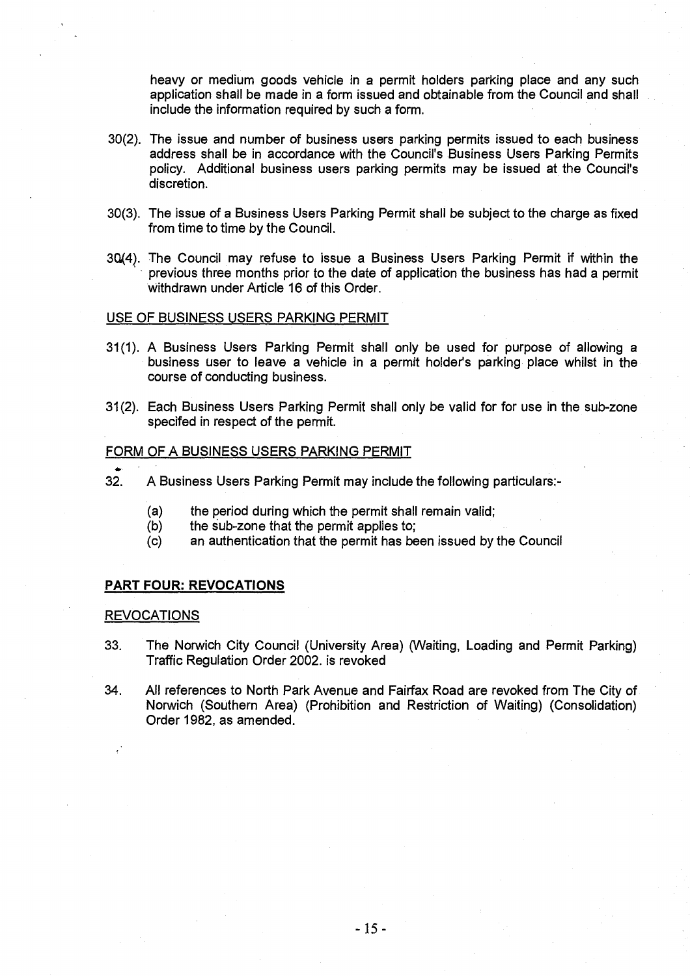heavy or medium goods vehicle in a permit holders parking place and any such application shall be made in a form issued and obtainable from the Council and shall include the information required by such a form.

- 30(2). The issue and number of business users parking permits issued to each business address shall be in accordance with the Council's Business Users Parking Permits policy. Additional business users parking permits may be issued at the Council's discretion.
- 30(3). The issue of a Business Users Parking Permit shall be subject to the charge as fixed from time to time by the Council.
- 30(4). The Council may refuse to issue a Business Users Parking Permit if within the previous three months prior to the date of application the business has had a permit Withdrawn under Article 16 of this Order.

#### USE OF BUSINESS USERS PARKING PERMIT

- 31(1). A Business Users Parking Permit shall only be used for purpose of allowing a business user to leave a vehicle in a permit holder's parking place whilst in the course of conducting business.
- 31(2). Each Business Users Parking Permit shall only be valid for for use in the sub-zone specifed in respect of the permit.

# FORM OF A BUSINESS USERS PARKING PERMIT

- 32. A Business Users Parking Permit may include the following particulars:-
	- (a) the period during which the permit shall remain valid;
	- (b) the sub-zone that the permit applies to;
	- (c) an authentication that the permit has been issued by the Council

#### **PART FOUR: REVOCATIONS**

#### **REVOCATIONS**

- 33. The Norwich City Council (University Area) (Waiting, Loading and Permit Parking) Traffic Regulation Order 2002. is revoked
- 34. All references to North Park Avenue and Fairfax Road are revoked from The City of Norwich (Southern Area) (Prohibition and Restriction of Waiting) (Consolidation) Order 1982, as amended.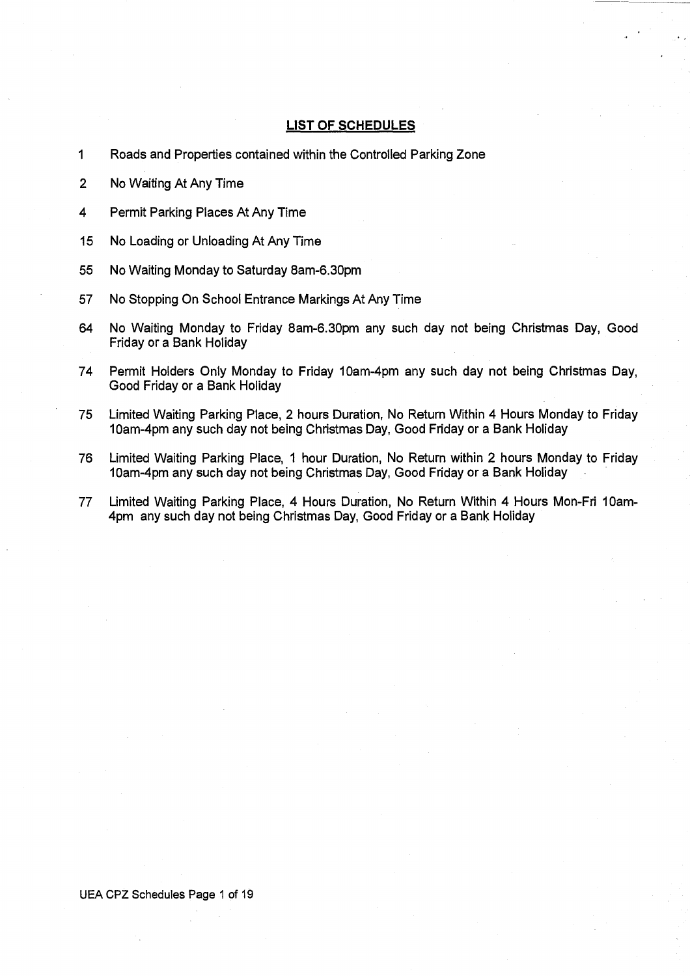# **LIST OF SCHEDULES**

- 1 Roads and Properties contained within the Controlled Parking Zone
- 2 No Waiting At Any Time
- 4 Permit Parking Places At Any Time
- 15 No Loading or Unloading At Any Time
- 55 No Waiting Monday to Saturday 8am-6.30pm
- 57 No Stopping On School Entrance Markings At Any Time
- 64 No Waiting Monday to Friday 8am-6.30pm any such day not being Christmas Day, Good Friday or a Bank Holiday
- 74 Permit Holders Only Monday to Friday 10am-4pm any such day not being Christmas Day, Good Friday or a Bank Holiday
- 75 Limited Waiting Parking Place, 2 hours Duration, No Return Within 4 Hours Monday to Friday 10am-4pm any such day not being Christmas Day, Good Friday or a Bank Holiday
- 76 Limited Waiting Parking Place, 1 hour Duration, No Return within 2 hours Monday to Friday 10am-4pm any such day not being Christmas Day, Good Friday or a Bank Holiday
- 77 Limited Waiting Parking Place, 4 Hours Duration, No Return Within 4 Hours Mon-Fri 10am-4pm any such day not being Christmas Day, Good Friday or a Bank Holiday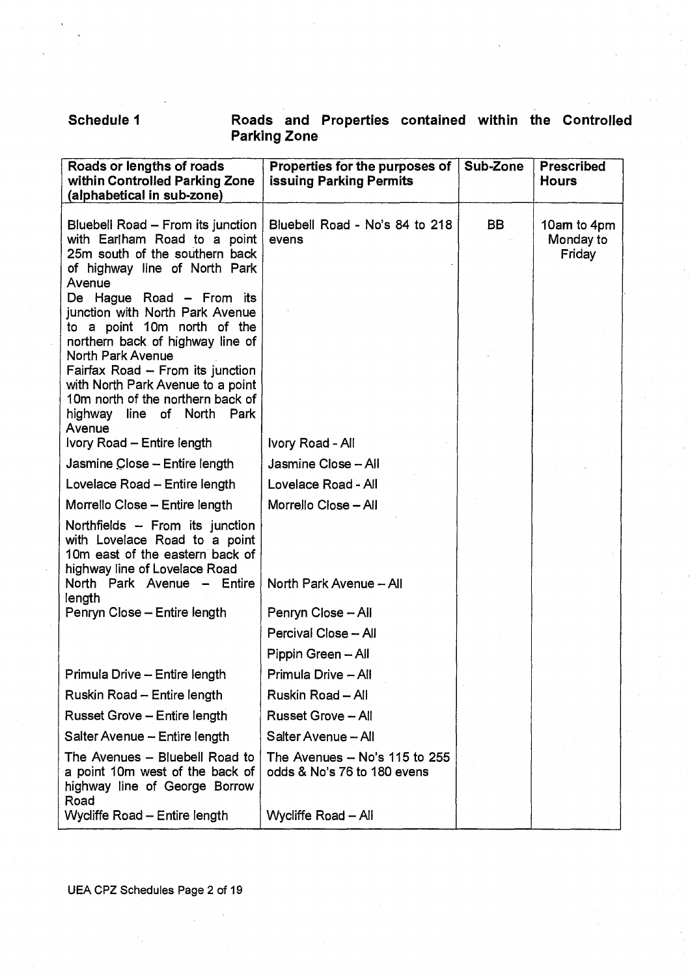# **Schedule 1 Roads and Properties contained within the Controlled Parking Zone**

| Roads or lengths of roads<br>within Controlled Parking Zone<br>(alphabetical in sub-zone)                                                                                              | Properties for the purposes of<br><b>issuing Parking Permits</b> | Sub-Zone  | <b>Prescribed</b><br><b>Hours</b>  |
|----------------------------------------------------------------------------------------------------------------------------------------------------------------------------------------|------------------------------------------------------------------|-----------|------------------------------------|
| Bluebell Road - From its junction<br>with Earlham Road to a point<br>25m south of the southern back<br>of highway line of North Park<br>Avenue                                         | Bluebell Road - No's 84 to 218<br>evens                          | <b>BB</b> | 10am to 4pm<br>Monday to<br>Friday |
| De Hague Road - From its<br>junction with North Park Avenue<br>to a point 10m north of the<br>northern back of highway line of<br>North Park Avenue                                    |                                                                  |           |                                    |
| Fairfax Road - From its junction<br>with North Park Avenue to a point<br>10m north of the northern back of<br>highway<br>line<br>of North Park<br>Avenue<br>Ivory Road - Entire length | Ivory Road - All                                                 |           |                                    |
| Jasmine Close - Entire length                                                                                                                                                          | Jasmine Close - All                                              |           |                                    |
| Lovelace Road - Entire length                                                                                                                                                          | Lovelace Road - All                                              |           |                                    |
| Morrello Close - Entire length                                                                                                                                                         | Morrello Close - All                                             |           |                                    |
| Northfields - From its junction<br>with Lovelace Road to a point<br>10m east of the eastern back of<br>highway line of Lovelace Road                                                   |                                                                  |           |                                    |
| North Park Avenue - Entire<br>length                                                                                                                                                   | North Park Avenue - All                                          |           |                                    |
| Penryn Close - Entire length                                                                                                                                                           | Penryn Close - All                                               |           |                                    |
|                                                                                                                                                                                        | Percival Close - All                                             |           |                                    |
|                                                                                                                                                                                        | Pippin Green - All                                               |           |                                    |
| Primula Drive - Entire length                                                                                                                                                          | Primula Drive - All                                              |           |                                    |
| Ruskin Road - Entire length                                                                                                                                                            | Ruskin Road - All                                                |           |                                    |
| <b>Russet Grove - Entire length</b>                                                                                                                                                    | <b>Russet Grove - All</b>                                        |           |                                    |
| Salter Avenue - Entire length                                                                                                                                                          | Salter Avenue - All                                              |           |                                    |
| The Avenues - Bluebell Road to<br>a point 10m west of the back of<br>highway line of George Borrow<br>Road                                                                             | The Avenues - No's 115 to 255<br>odds & No's 76 to 180 evens     |           |                                    |
| Wycliffe Road - Entire length                                                                                                                                                          | Wycliffe Road - All                                              |           |                                    |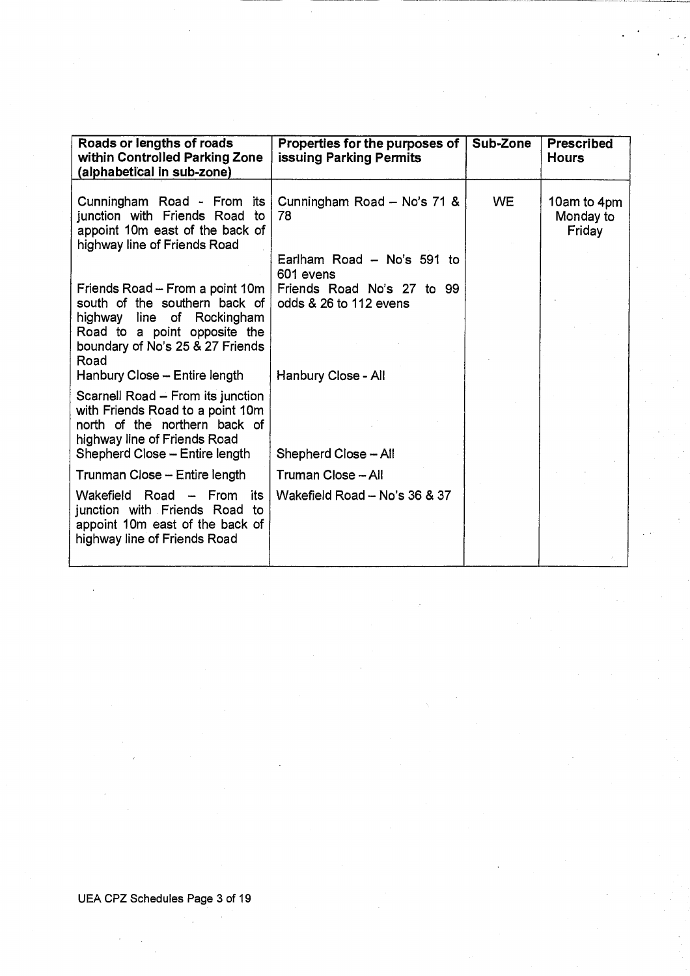| Roads or lengths of roads<br>within Controlled Parking Zone<br>(alphabetical in sub-zone)                                                                                | Properties for the purposes of<br>issuing Parking Permits | Sub-Zone | <b>Prescribed</b><br><b>Hours</b>  |
|--------------------------------------------------------------------------------------------------------------------------------------------------------------------------|-----------------------------------------------------------|----------|------------------------------------|
| Cunningham Road - From its<br>junction with Friends Road<br>to<br>appoint 10m east of the back of<br>highway line of Friends Road                                        | Cunningham Road - No's 71 &<br>78                         | WE.      | 10am to 4pm<br>Monday to<br>Friday |
|                                                                                                                                                                          | Earlham Road - No's 591 to<br>601 evens                   |          |                                    |
| Friends Road - From a point 10m<br>south of the southern back of                                                                                                         | Friends Road No's 27 to 99<br>odds & 26 to 112 evens      |          |                                    |
| highway line of Rockingham<br>Road to a point opposite the<br>boundary of No's 25 & 27 Friends<br>Road                                                                   |                                                           |          |                                    |
| Hanbury Close - Entire length                                                                                                                                            | Hanbury Close - All                                       |          |                                    |
| Scarnell Road - From its junction<br>with Friends Road to a point 10m<br>north of the northern back of<br>highway line of Friends Road<br>Shepherd Close - Entire length | Shepherd Close - All                                      |          |                                    |
| Trunman Close - Entire length                                                                                                                                            | Truman Close - All                                        |          |                                    |
| Road<br>Wakefield<br>$-$ From<br>its<br>junction with Friends Road to<br>appoint 10m east of the back of<br>highway line of Friends Road                                 | Wakefield Road - No's 36 & 37                             |          |                                    |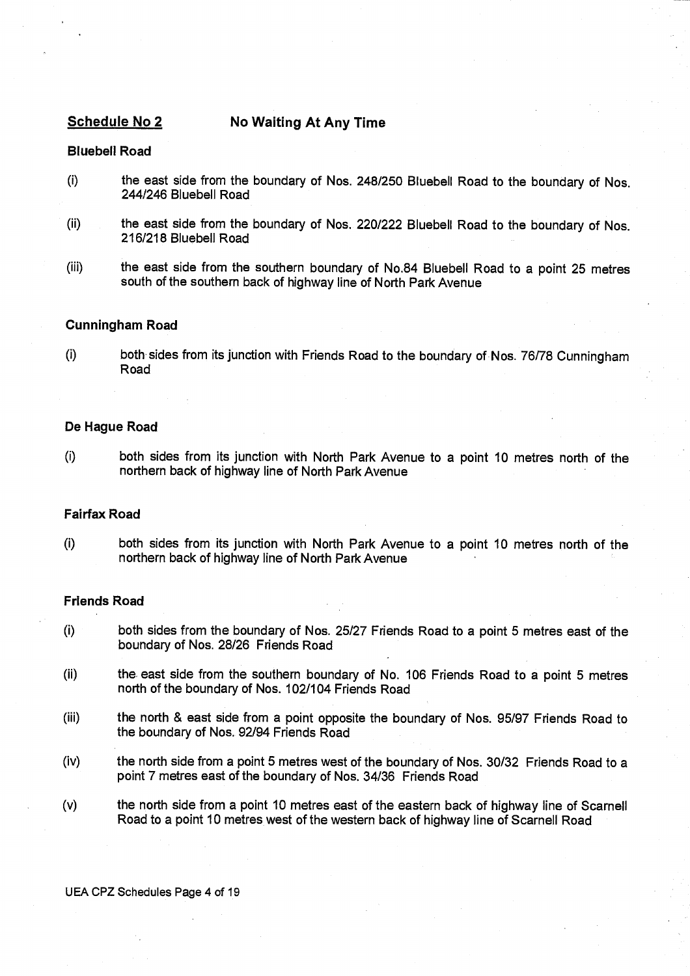# **Schedule No 2 No Waiting At Any Time**

# **Bluebell Road**

- (i) the east side from the boundary of Nos. 248/250 Bluebell Road to the boundary of Nos. 244/246 Bluebell Road
- (ii) the east side from the boundary of Nos. 220/222 Bluebell Road to the boundary of Nos. 216/218 Bluebell Road
- (iii) the east side from the southern boundary of No.84 Bluebell Road to a point 25 metres south of the southern back of highway line of North Park Avenue

# **Cunningham Road**

(I) both sides from its junction with Friends Road to the boundary of Nos. 76/78 Cunningham Road

# **De Hague Road**

(I) both sides from its junction with North Park Avenue to a point 10 metres north of the northern back of highway line of North Park Avenue

# **Fairfax Road**

(I) both sides from its junction with North Park Avenue to a point 10 metres north of the northern back of highway line of North Park Avenue

# **Friends Road**

- (i) both sides from the boundary of Nos. 25/27 Friends Road to a point 5 metres east of the boundary of Nos. 28/26 Friends Road
- (ii) the east side from the southern boundary of No. 106 Friends Road to a point 5 metres north of the boundary of Nos. 102/104 Friends Road
- (iii) the north & east side from a point opposite the boundary of Nos. 95/97 Friends Road to the boundary of Nos. 92/94 Friends Road
- (iv) the north side from a point 5 metres west of the boundary of Nos. 30/32 Friends Road to a point 7 metres east of the boundary of Nos. 34/36 Friends Road
- (v) the north side from a point 10 metres east of the eastern back of highway line of Scarnell Road to a point 10 metres west of the western back of highway line of Scarnell Road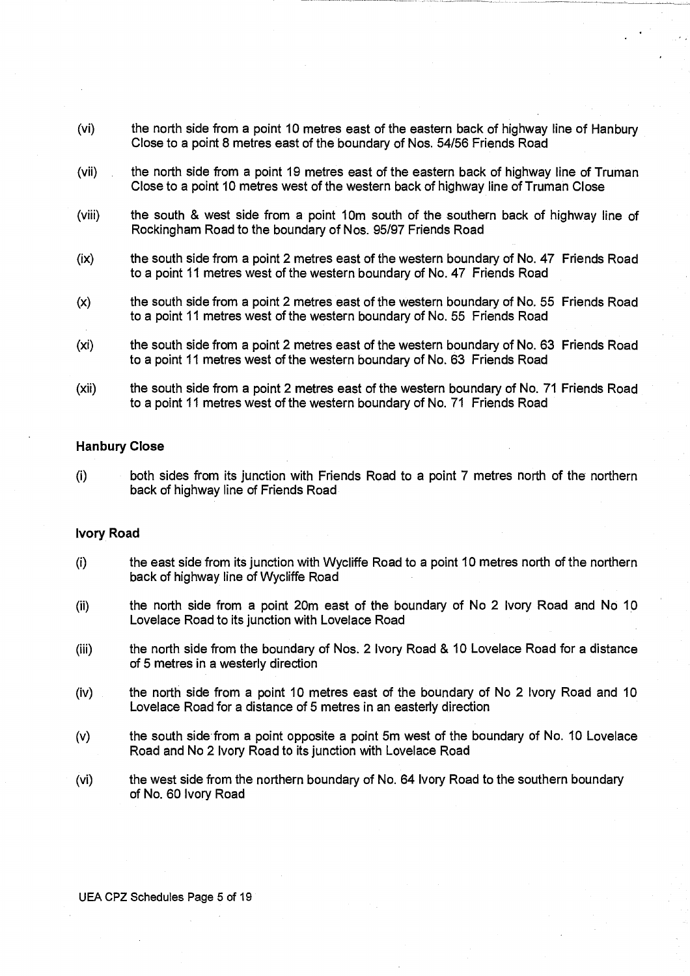- (vi) the north side from a point 10 metres east of the eastern back of highway line of Hanbury Close to a point 8 metres east of the boundary of Nos. 54/56 Friends Road
- (vii) the north side from a point 19 metres east of the eastern back of highway line of Truman Close to a point 10 metres west of the western back of highway line of Truman Close
- (viii) the south & west side from a point 10m south of the southern back of highway line of Rockingham Road to the boundary of Nos. 95/97 Friends Road
- (ix) the south side from a point 2 metres east of the western boundary of No. 47 Friends Road to a point 11 metres west of the western boundary of No. 47 Friends Road
- (x) the south side from a point 2 metres east of the western boundary of No. 55 Friends Road to a point 11 metres west of the western boundary of No. 55 Friends Road
- (xi) the south side from a point 2 metres east of the western boundary of No. 63 Friends Road to a point 11 metres west of the western boundary of No. 63 Friends Road
- (xii) the south side from a point 2 metres east of the western boundary of No. 71 Friends Road to a point 11 metres west of the western boundary of No. 71 Friends Road

# **Hanbury Close**

(i) both sides from its junction with Friends Road to a point 7 metres north of the northern back of highway line of Friends Road

# **Ivory Road**

- (I) the east side from its junction with Wycliffe Road to a point 10 metres north of the northern back of highway line of Wycliffe Road
- (ii) the north side from a point 20m east of the boundary of No 2 Ivory Road and No 10 Lovelace Road to its junction with Lovelace Road
- (iii) the north side from the boundary of Nos. 2 Ivory Road & 10 Lovelace Road for a distance of 5 metres in a westerly direction
- (iv) the north side from a point 10 metres east of the boundary of No 2 Ivory Road and 10 Lovelace Road for a distance of 5 metres in an easterly direction
- (v) the south side from a point opposite a point 5m west of the boundary of No. 10 Lovelace Road and No 2 Ivory Road to its junction with Lovelace Road
- (vi) the west side from the northern boundary of No. 64 Ivory Road to the southern boundary of No. 60 Ivory Road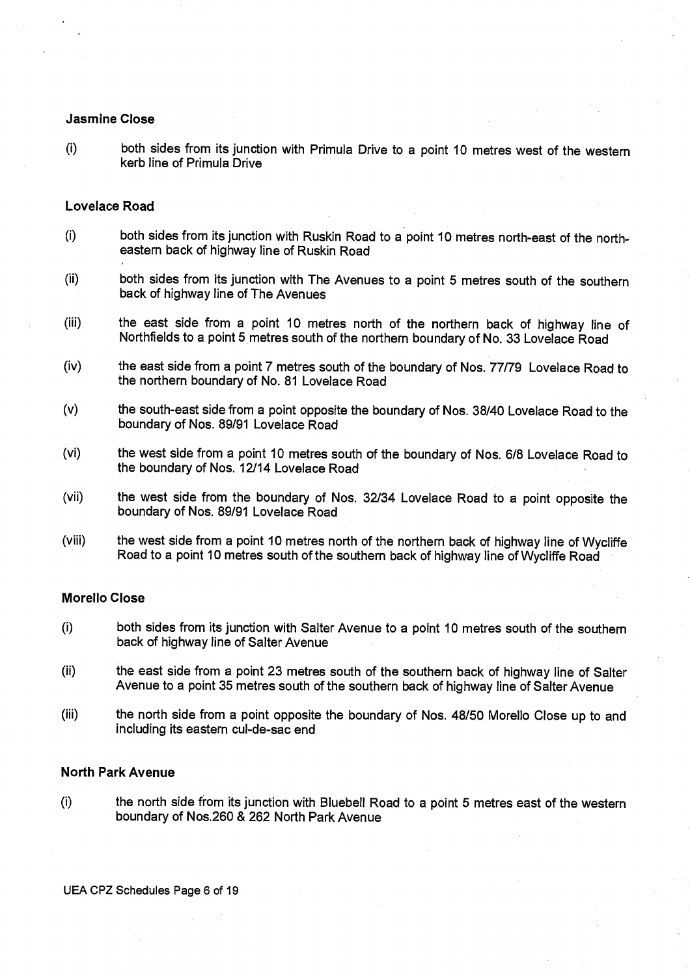## **Jasmine Close**

(i) both sides from its junction with Primula Drive to a point 10 metres west of the western kerb line of Primula Drive

# **Lovelace Road**

- (I) both sides from its junction with Ruskin Road to a point 10 metres north-east of the northeastern back of highway line of Ruskin Road
- (ii) both sides from its junction with The Avenues to a point 5 metres south of the southern back of highway line of The Avenues
- (iii) the east side from a point 10 metres north of the northern back of highway line of Northfields to a point 5 metres south of the northern boundary of No. 33 Lovelace Road
- (iv) the east side from a point 7 metres south of the boundary of Nos. 77/79 Lovelace Road to the northern boundary of No. 81 Lovelace Road
- (v) the south-east side from a point opposite the boundary of Nos. 38/40 Lovelace Road to the boundary of Nos. 89/91 Lovelace Road
- (vi) the west side from a point 10 metres south of the boundary of Nos. 6/8 Lovelace Road to the boundary of Nos. 12/14 Lovelace Road
- (vii) the west side from the boundary of Nos. 32/34 Lovelace Road to a point opposite the boundary of Nos. 89/91 Lovelace Road
- (viii) the west side from a point 10 metres north of the northern back of highway line of Wycliffe Road to a point 10 metres south of the southern back of highway line of Wycliffe Road

#### **Morello Close**

- (i) both sides from its junction with Salter Avenue to a point 10 metres south of the southern back of highway line of Salter Avenue
- (ii) the east side from a point 23 metres south of the southern back of highway line of Salter Avenue to a point 35 metres south of the southern back of highway line of Salter Avenue
- (iii) the north side from a point opposite the boundary of Nos. 48/50 Morello Close up to and including its eastern cul-de-sac end

#### **North Park Avenue**

(i) the north side from its junction with Bluebell Road to a point 5 metres east of the western boundary of Nos.260 & 262 North Park Avenue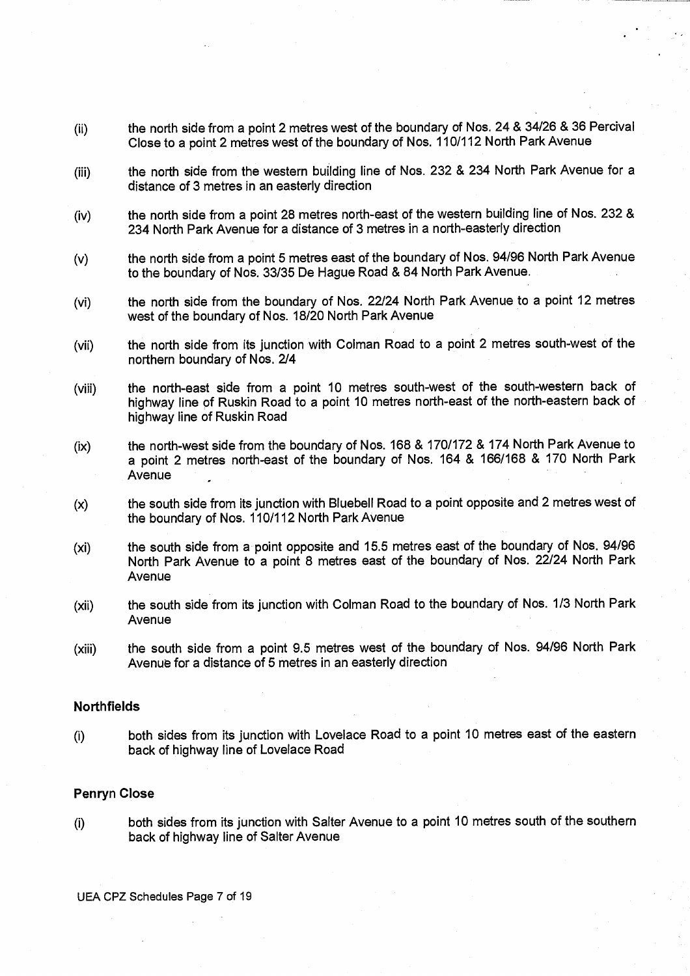- (ii) the north side from a point 2 metres west of the boundary of Nos. 24 & 34/26 & 36 Percival Close to a point 2 metres west of the boundary of Nos. 110/112 North Park Avenue
- (iii) the north side from the western building line of Nos. 232 & 234 North Park Avenue for a distance of 3 metres in an easterly direction
- (iv) the north side from a point 28 metres north-east of the western building line of Nos. 232 & 234 North Park Avenue for a distance of 3 metres in a north-easterly direction
- (v) the north side from a point 5 metres east of the boundary of Nos. 94/96 North Park Avenue to the boundary of Nos. 33/35 De Hague Road & 84 North Park Avenue.
- (vi) the north side from the boundary of Nos. 22/24 North Park Avenue to a point 12 metres west of the boundary of Nos. 18/20 North Park Avenue
- (vii) the north side from its junction with Colman Road to a point 2 metres south-west of the northern boundary of Nos. 2/4
- (viii) the north-east side from a point 10 metres south-west of the south-western back of highway line of Ruskin Road to a point 10 metres north-east of the north-eastern back of highway line of Ruskin Road
- (ix) the north-west side from the boundary of Nos. 168 & 170/172 & 174 North Park Avenue to a point 2 metres north-east of the boundary of Nos. 164 & 166/168 & 170 North Park Avenue
- (x) the south side from its junction with Bluebell Road to a point opposite and 2 metres west of the boundary of Nos. 110/112 North Park Avenue
- (xi) the south side from a point opposite and 15.5 metres east of the boundary of Nos. 94/96 North Park Avenue to a point 8 metres east of the boundary of Nos. 22/24 North Park Avenue
- (xii) the south side from its junction with Colman Road to the boundary of Nos. 1/3 North Park Avenue
- (xiii) the south side from a point 9.5 metres west of the boundary of Nos. 94/96 North Park Avenue for a distance of 5 metres in an easterly direction

# **Northfields**

(i) both sides from its junction with Lovelace Road to a point 10 metres east of the eastern back of highway line of Lovelace Road

# **Penryn Close**

(i) both sides from its junction with Salter Avenue to a point 10 metres south of the southern back of highway line of Salter Avenue

UEA CPZ Schedules Page 7 of 19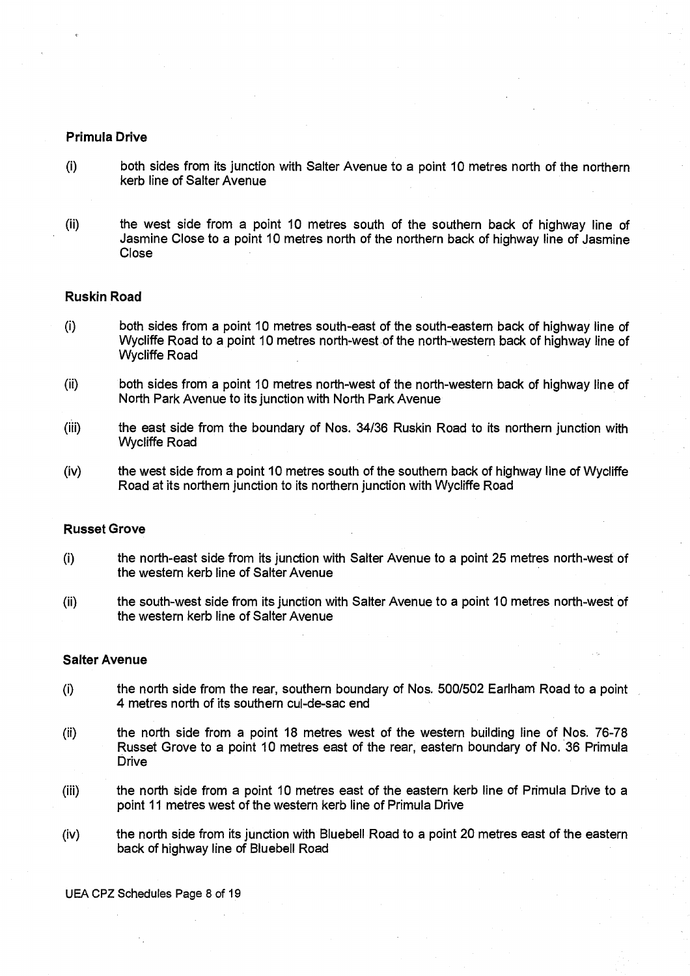# Primula Drive

- (I) both sides from its junction with Salter Avenue to a point 10 metres north of the northern kerb line of Salter Avenue
- (ii) the west side from a point 10 metres south of the southern back of highway line of Jasmine Close to a point 10 metres north of the northern back of highway line of Jasmine Close

## **Ruskin Road**

- (i) both sides from a point 10 metres south-east of the south-eastern back of highway line of Wycliffe Road to a point 10 metres north-west of the north-western back of highway line of Wycliffe Road
- (ii) both sides from a point 10 metres north-west of the north-western back of highway line of North Park Avenue to its junction with North Park Avenue
- (iii) the east side from the boundary of Nos. 34/36 Ruskin Road to its northern junction with Wycliffe Road
- (iv) the west side from a point 10 metres south of the southern back of highway line of Wycliffe Road at its northern junction to its northern junction with Wycliffe Road

#### **Russet Grove**

- (I) the north-east side from its junction with Salter Avenue to a point 25 metres north-west of the western kerb line of Salter Avenue
- (ii) the south-west side from its junction with Salter Avenue to a point 10 metres north-west of the western kerb line of Salter Avenue

# **Salter Avenue**

- (i) the north side from the rear, southern boundary of Nos. 500/502 Earlham Road to a point 4 metres north of its southern cul-de-sac end
- (ii) the north side from a point 18 metres west of the western building line of Nos. 76-78 Russet Grove to a point 10 metres east of the rear, eastern boundary of No. 36 Primula **Drive**
- (iii) the north side from a point 10 metres east of the eastern kerb line of Primula Drive to a point 11 metres west of the western kerb line of Primula Drive
- (iv) the north side from its junction with Bluebell Road to a point 20 metres east of the eastern back of highway line of Bluebell Road

UEA CPZ Schedules Page 8 of 19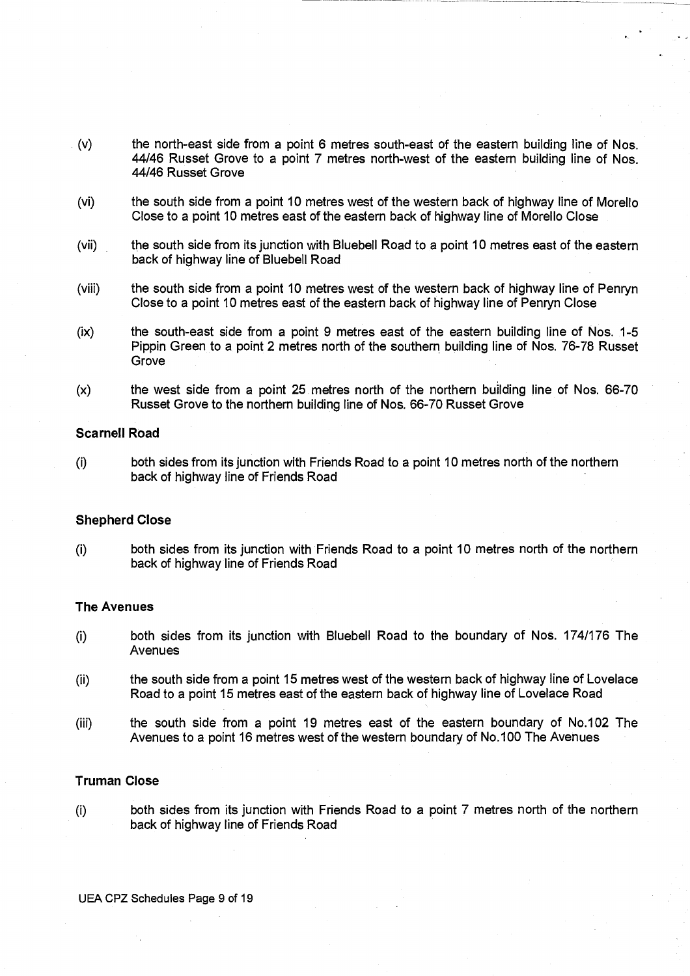- (v) the north-east side from a point 6 metres south-east of the eastern building line of Nos. 44/46 Russet Grove to a point 7 metres north-west of the eastern building line of Nos. 44/46 Russet Grove
- (vi) the south side from a point 10 metres west of the western back of highway line of Morello Close to a point 10 metres east of the eastern back of highway line of Morello Close
- (vii) the south side from its junction with Bluebell Road to a point 10 metres east of the eastern back of highway line of Bluebell Road
- (viii) the south side from a point 10 metres west of the western back of highway line of Penryn Close to a point 10 metres east of the eastern back of highway line of Penryn Close
- (ix) the south-east side from a point 9 metres east of the eastern building line of Nos. 1-5 Pippin Green to a point 2 metres north of the southern building line of Nos. 76-78 Russet Grove
- (x) the west side from a point 25 metres north of the northern building line of Nos. 66-70 Russet Grove to the northern building line of Nos. 66-70 Russet Grove

#### **Scarnell Road**

(i) both sides from its junction with Friends Road to a point 10 metres north of the northern back of highway line of Friends Road

# **Shepherd Close**

(i) both sides from its junction with Friends Road to a point 10 metres north of the northern back of highway line of Friends Road

#### **The Avenues**

- (i) both sides from its junction with Bluebell Road to the boundary of Nos. 174/176 The Avenues
- (ii) the south side from a point 15 metres west of the western back of highway line of Lovelace Road to a point 15 metres east of the eastern back of highway line of Lovelace Road
- (iii) the south side from a point 19 metres east of the eastern boundary of No.102 The Avenues to a point 16 metres west of the western boundary of No.100 The Avenues

#### **Truman Close**

(i) both sides from its junction with Friends Road to a point 7 metres north of the northern back of highway line of Friends Road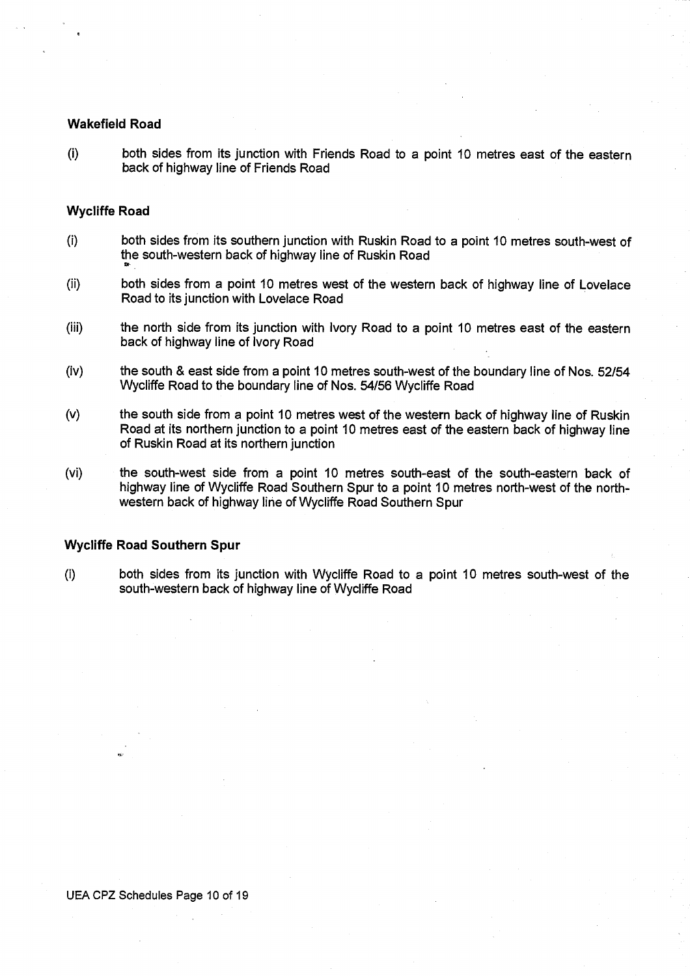# **Wakefield Road**

(i) both sides from its junction with Friends Road to a point 10 metres east of the eastern back of highway line of Friends Road

# **Wycliffe Road**

- (I) both sides from its southern junction with Ruskin Road to a point 10 metres south-west of the south-western back of highway line of Ruskin Road
- (ii) both sides from a point 10 metres west of the western back of highway line of Lovelace Road to its junction with Lovelace Road
- (iii) the north side from its junction with Ivory Road to a point 10 metres east of the eastern back of highway line of Ivory Road
- (iv) the south & east side from a point 10 metres south-west of the boundary line of Nos. 52/54 Wycliffe Road to the boundary line of Nos. 54/56 Wycliffe Road
- (v) the south side from a point 10 metres west of the western back of highway line of Ruskin Road at its northern junction to a point 10 metres east of the eastern back of highway line of Ruskin Road at its northern junction
- (vi) the south-west side from a point 10 metres south-east of the south-eastern back of highway line of Wycliffe Road Southern Spur to a point 10 metres north-west of the northwestern back of highway line of Wycliffe Road Southern Spur

# **Wycliffe Road Southern Spur**

(i) both sides from its junction with Wycliffe Road to a point 10 metres south-west of the south-western back of highway line of Wycliffe Road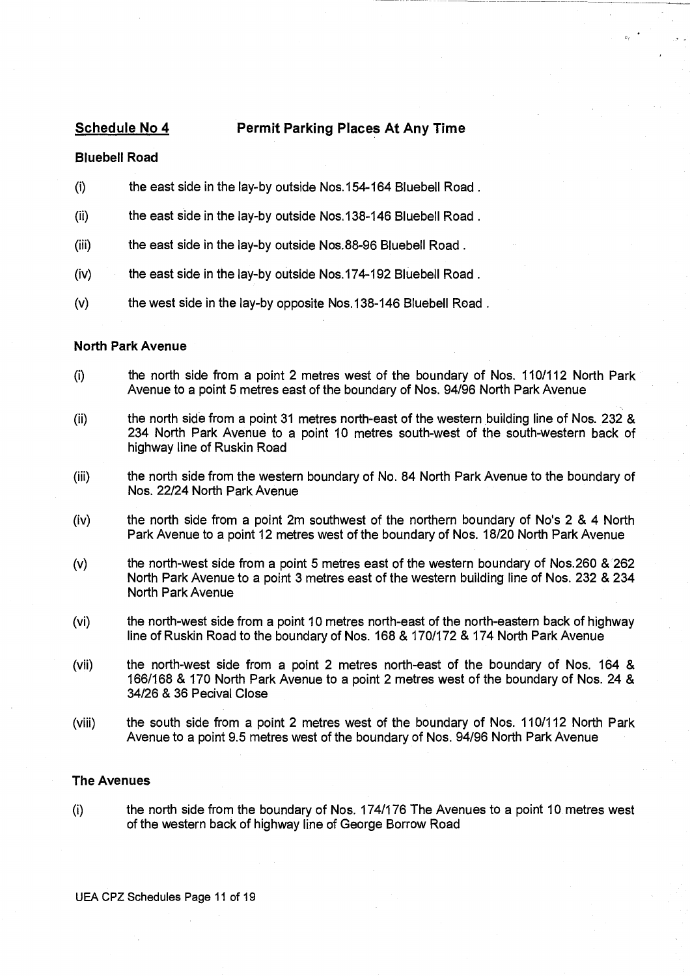# **Schedule No 4** Permit Parking Places At Any Time

# **Bluebell Road**

- $(i)$ the east side in the lay-by outside Nos.154-164 Bluebell Road.
- (ii) the east side in the lay-by outside Nos.138-146 Bluebell Road.
- (iii) the east side in the lay-by outside Nos.88-96 Bluebell Road.
- (iv) the east side in the lay-by outside Nos.174-192 Bluebell Road.
- (v) the west side in the lay-by opposite Nos.138-146 Bluebell Road.

#### **North Park Avenue**

- (i) the north side from a point 2 metres west of the boundary of Nos. 110/112 North Park Avenue to a point 5 metres east of the boundary of Nos. 94/96 North Park Avenue
- (ii) the north side from a point 31 metres north-east of the western building line of Nos. 232 & 234 North Park Avenue to a point 10 metres south-west of the south-western back of highway line of Ruskin Road
- (iii) the north side from the western boundary of No. 84 North Park Avenue to the boundary of Nos. 22/24 North Park Avenue
- (iv) the north side from a point 2m southwest of the northern boundary of No's 2 & 4 North Park Avenue to a point 12 metres west of the boundary of Nos. 18/20 North Park Avenue
- (v) the north-west side from a point 5 metres east of the western boundary of Nos.260 & 262 North Park Avenue to a point 3 metres east of the western building line of Nos. 232 & 234 North Park Avenue
- (vi) the north-west side from a point 10 metres north-east of the north-eastern back of highway line of Ruskin Road to the boundary of Nos. 168 & 170/172 & 174 North Park Avenue
- (vii) the north-west side from a point 2 metres north-east of the boundary of Nos. 164 & 166/168 & 170 North Park Avenue to a point 2 metres west of the boundary of Nos. 24 & 34/26 & 36 Pecival Close
- (viii) the south side from a point 2 metres west of the boundary of Nos. 110/112 North Park Avenue to a point 9.5 metres west of the boundary of Nos. 94/96 North Park Avenue

# **The Avenues**

(i) the north side from the boundary of Nos. 174/176 The Avenues to a point 10 metres west of the western back of highway line of George Borrow Road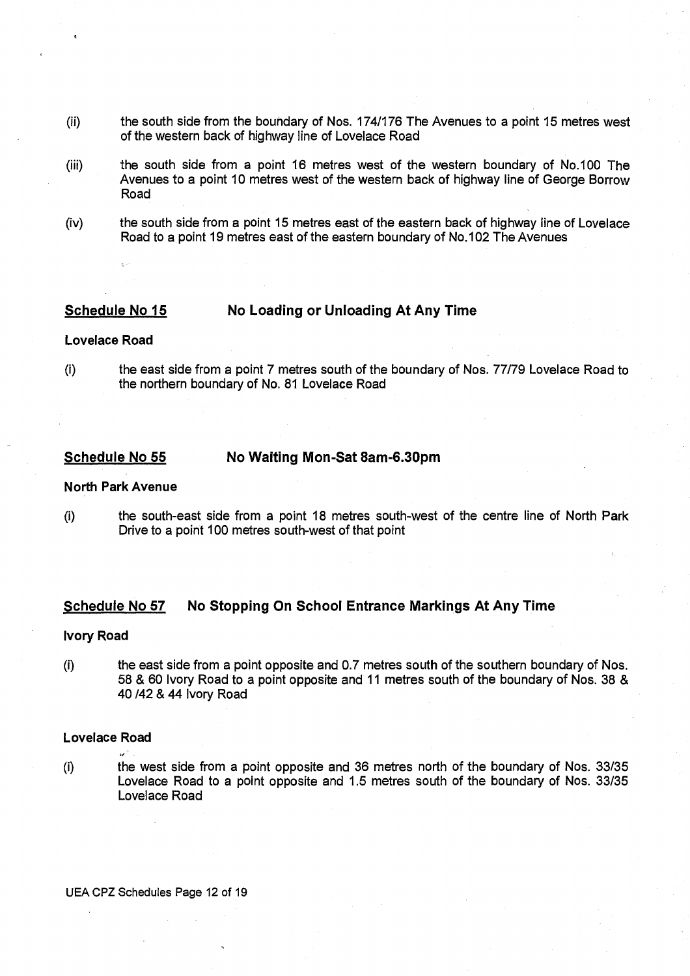- (ii) the south side from the boundary of Nos. 174/176 The Avenues to a point 15 metres west of the western back of highway line of Lovelace Road
- (iii) the south side from a point 16 metres west of the western boundary of No.100 The Avenues to a point 10 metres west of the western back of highway line of George Borrow Road
- (iv) the south side from a point 15 metres east of the eastern back of highway line of Lovelace Road to a point 19 metres east of the eastern boundary of No.102 The Avenues

# **Schedule No 15 No Loading or Unloading At Any Time**

#### **Lovelace Road**

(I) the east side from a point 7 metres south of the boundary of Nos. 77/79 Lovelace Road to the northern boundary of No. 81 Lovelace Road

# **Schedule No 55 No Waiting Mon-Sat 8am-6.30pm**

#### **North Park Avenue**

(i) the south-east side from a point 18 metres south-west of the centre line of North Park Drive to a point 100 metres south-west of that point

# **Schedule No 57 No Stopping On School Entrance Markings At Any Time**

#### **Ivory Road**

 $(i)$ the east side from a point opposite and 0.7 metres south of the southern boundary of Nos. 58 & 60 Ivory Road to a point opposite and 11 metres south of the boundary of Nos. 38 & 40/42 & 44 Ivory Road

# **Lovelace Road**

St

- 
- (i) the west side from a point opposite and 36 metres north of the boundary of Nos. 33/35 Lovelace Road to a point opposite and 1.5 metres south of the boundary of Nos. 33/35 Lovelace Road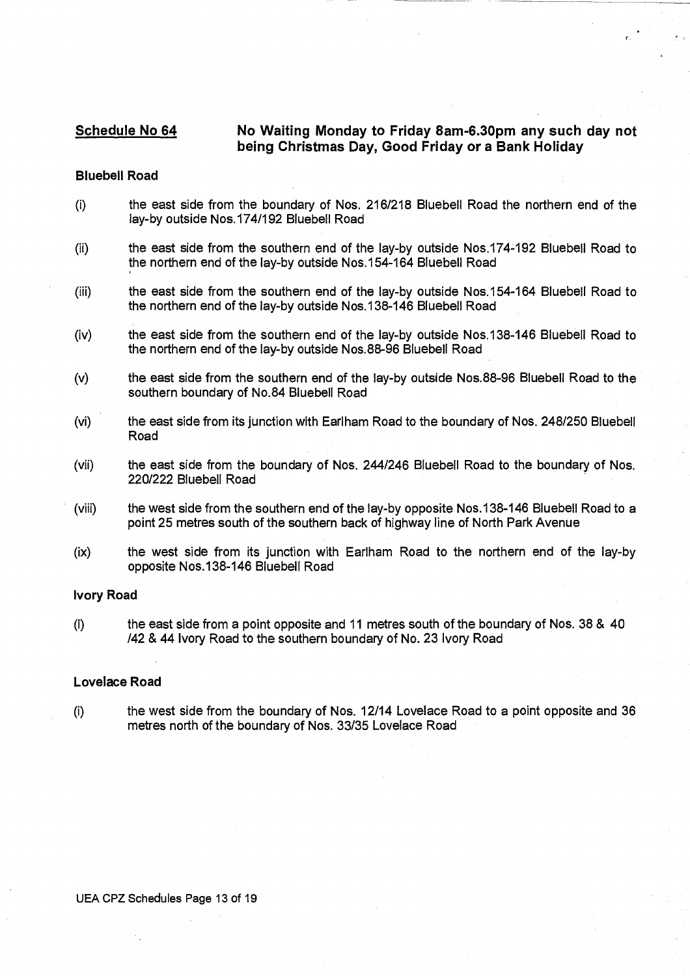# **Schedule No 64 No Waiting Monday to Friday 8am-6.30pm any such day not being Christmas Day, Good Friday or a Bank Holiday**

#### **Bluebell Road**

- (I) the east side from the boundary of Nos. 216/218 Bluebell Road the northern end of the lay-by outside Nos.174/192 Bluebell Road
- (ii) the east side from the southern end of the lay-by outside Nos.174-192 Bluebell Road to the northern end of the lay-by outside Nos.154-164 Bluebell Road
- (iii) the east side from the southern end of the lay-by outside Nos.154-164 Bluebell Road to the northern end of the lay-by outside Nos.138-146 Bluebell Road
- (iv) the east side from the southern end of the lay-by outside Nos.138-146 Bluebell Road to the northern end of the lay-by outside Nos.88-96 Bluebell Road
- (v) the east side from the southern end of the lay-by outside Nos.88-96 Bluebell Road to the southern boundary of No.84 Bluebell Road
- (vi) the east side from its junction with Earlham Road to the boundary of Nos. 248/250 Bluebell Road
- (vii) the east side from the boundary of Nos. 244/246 Bluebell Road to the boundary of Nos. 220/222 Bluebell Road
- (viii) the west side from the southern end of the lay-by opposite Nos.138-146 Bluebell Road to a point 25 metres south of the southern back of highway line of North Park Avenue
- (ix) the west side from its junction with Earlham Road to the northern end of the lay-by opposite Nos.138-146 Bluebell Road

# **Ivory Road**

(I) the east side from a point opposite and 11 metres south of the boundary of Nos. 38 & 40 /42 & **44** Ivory Road to the southern boundary of No. 23 Ivory Road

# **Lovelace Road**

(I) the west side from the boundary of Nos. 12/14 Lovelace Road to a point opposite and 36 metres north of the boundary of Nos. 33/35 Lovelace Road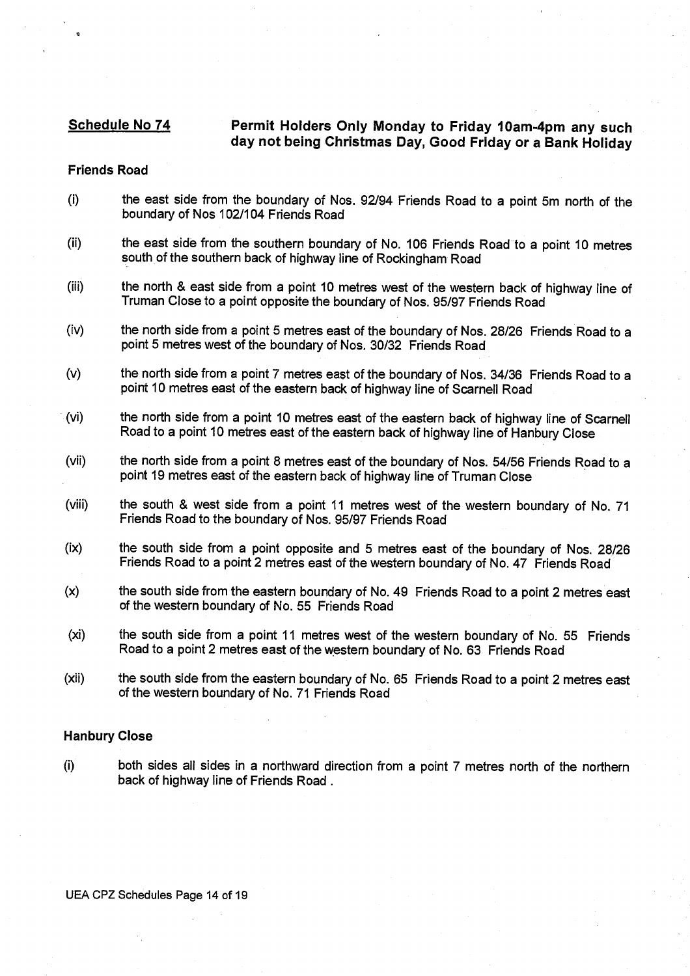# **Schedule No 74 Permit Holders Only Monday to Friday 10am-4pm any such day not being Christmas Day, Good Friday or a Bank Holiday**

#### **Friends Road**

- (i) the east side from the boundary of Nos. 92/94 Friends Road to a point 5m north of the boundary of Nos 102/104 Friends Road
- (ii) the east side from the southern boundary of No. 106 Friends Road to a point 10 metres south of the southern back of highway line of Rockingham Road
- (iii) the north & east side from a point 10 metres west of the western back of highway line of Truman Close to a point opposite the boundary of Nos. 95/97 Friends Road
- (iv) the north side from a point 5 metres east of the boundary of Nos. 28/26 Friends Road to a point 5 metres west of the boundary of Nos. 30/32 Friends Road
- (v) the north side from a point 7 metres east of the boundary of Nos. 34/36 Friends Road to a point 10 metres east of the eastern back of highway line of Scarnell Road
- (vi) the north side from a point 10 metres east of the eastern back of highway line of Scarnell Road to a point 10 metres east of the eastern back of highway line of Hanbury Close
- (vii) the north side from a point 8 metres east of the boundary of Nos. 54/56 Friends Road to a point 19 metres east of the eastern back of highway line of Truman Close
- (viii) the south & west side from a point 11 metres west of the western boundary of No. 71 Friends Road to the boundary of Nos. 95/97 Friends Road
- (ix) the south side from a point opposite and 5 metres east of the boundary of Nos. 28/26 Friends Road to a point 2 metres east of the western boundary of No. 47 Friends Road
- (x) the south side from the eastern boundary of No. 49 Friends Road to a point 2 metres east of the western boundary of No. 55 Friends Road
- (xi) the south side from a point 11 metres west of the western boundary of No. 55 Friends Road to a point 2 metres east of the western boundary of No. 63 Friends Road
- (xii) the south side from the eastern boundary of No. 65 Friends Road to a point 2 metres east of the western boundary of No. 71 Friends Road

# **Hanbury Close**

(i) both sides all sides in a northward direction from a point 7 metres north of the northern back of highway line of Friends Road.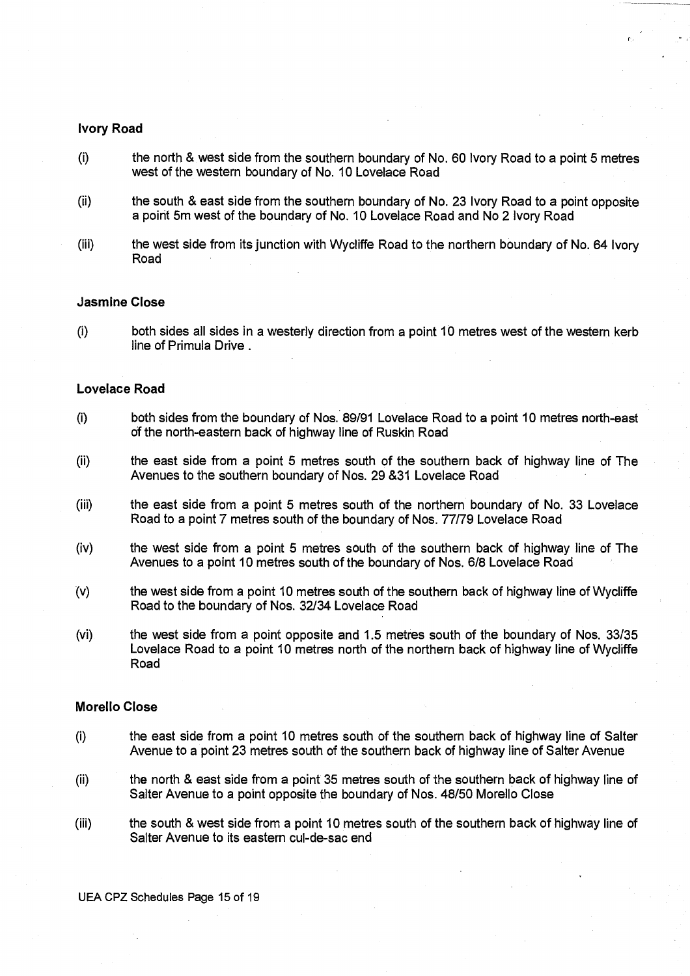#### **Ivory Road**

- $(i)$ the north & west side from the southern boundary of No. 60 Ivory Road to a point 5 metres west of the western boundary of No. 10 Lovelace Road
- (ii) the south & east side from the southern boundary of No. 23 Ivory Road to a point opposite a point 5m west of the boundary of No. 10 Lovelace Road and No 2 Ivory Road
- (iii) the west side from its junction with Wycliffe Road to the northern boundary of No. 64 Ivory Road

## **Jasmine Close**

(I) both sides all sides in a westerly direction from a point 10 metres west of the western kerb line of Primula Drive.

#### **Lovelace Road**

- (i) both sides from the boundary of Nos. 89/91 Lovelace Road to a point 10 metres north-east of the north-eastern back of highway line of Ruskin Road
- (ii) the east side from a point 5 metres south of the southern back of highway line of The Avenues to the southern boundary of Nos. 29 &31 Lovelace Road
- (iii) the east side from a point 5 metres south of the northern boundary of No. 33 Lovelace Road to a point 7 metres south of the boundary of Nos. 77/79 Lovelace Road
- (iv) the west side from a point 5 metres south of the southern back of highway line of The Avenues to a point 10 metres south of the boundary of Nos. 6/8 Lovelace Road
- (v) the west side from a point 10 metres south of the southern back of highway line of Wycliffe Road to the boundary of Nos. 32/34 Lovelace Road
- (vi) the west side from a point opposite and 1.5 metres south of the boundary of Nos. 33/35 Lovelace Road to a point 10 metres north of the northern back of highway line of Wycliffe Road

# **Morello Close**

- (i) the east side from a point 10 metres south of the southern back of highway line of Salter Avenue to a point 23 metres south of the southern back of highway line of Salter Avenue
- (ii) the north & east side from a point 35 metres south of the southern back of highway line of Salter Avenue to a point opposite the boundary of Nos. 48/50 Morello Close
- (iii) the south & west side from a point 10 metres south of the southern back of highway line of Salter Avenue to its eastern cul-de-sac end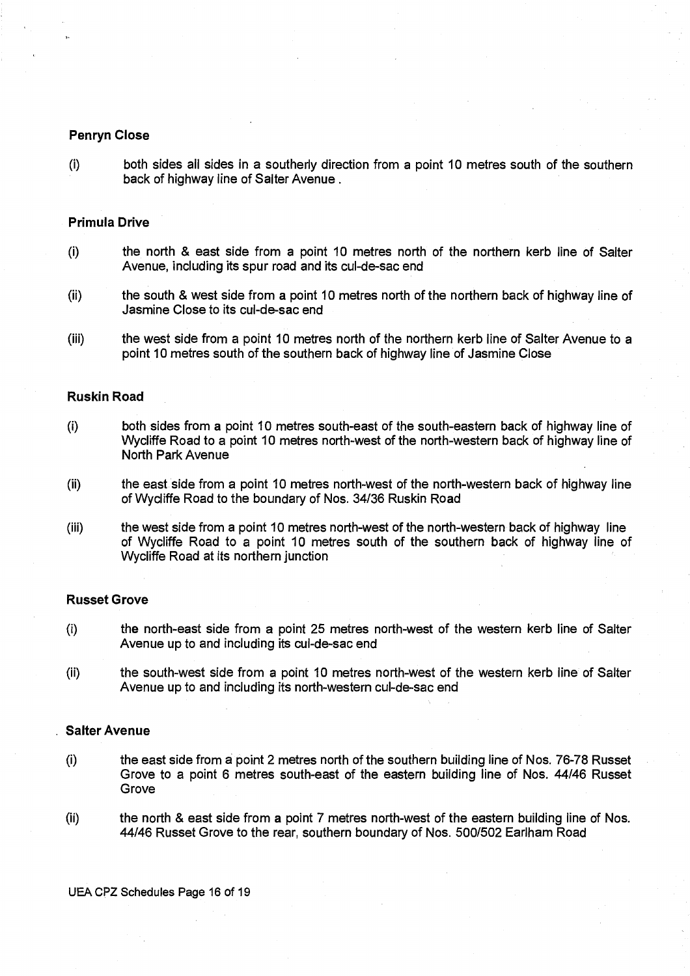# **Penryn Close**

(i) both sides all sides in a southerly direction from a point 10 metres south of the southern back of highway line of Salter Avenue.

### **Primula Drive**

- (i) the north & east side from a point 10 metres north of the northern kerb line of Salter Avenue, including its spur road and its cul-de-sac end
- (ii) the south & west side from a point 10 metres north of the northern back of highway line of Jasmine Close to its cul-de-sac end
- (iii) the west side from a point 10 metres north of the northern kerb line of Salter Avenue to a point 10 metres south of the southern back of highway line of Jasmine Close

# **Ruskin Road**

- (i) both sides from a point 10 metres south-east of the south-eastern back of highway line of Wycliffe Road to a point 10 metres north-west of the north-western back of highway line of North Park Avenue
- (ii) the east side from a point 10 metres north-west of the north-western back of highway line of Wycliffe Road to the boundary of Nos. 34/36 Ruskin Road
- (iii) the west side from a point 10 metres north-west of the north-western back of highway line of Wycliffe Road to a point 10 metres south of the southern back of highway line of Wycliffe Road at its northern junction

# **Russet Grove**

- (I) the north-east side from a point 25 metres north-west of the western kerb line of Salter Avenue up to and including its cul-de-sac end
- (ii) the south-west side from a point 10 metres north-west of the western kerb line of Salter Avenue up to and including its north-western cul-de-sac end

# **Salter Avenue**

- (I) the east side from a point 2 metres north of the southern building line of Nos. 76-78 Russet Grove to a point 6 metres south-east of the eastern building line of Nos. 44/46 Russet Grove
- (ii) the north & east side from a point 7 metres north-west of the eastern building line of Nos. 44/46 Russet Grove to the rear, southern boundary of Nos. 500/502 Earlham Road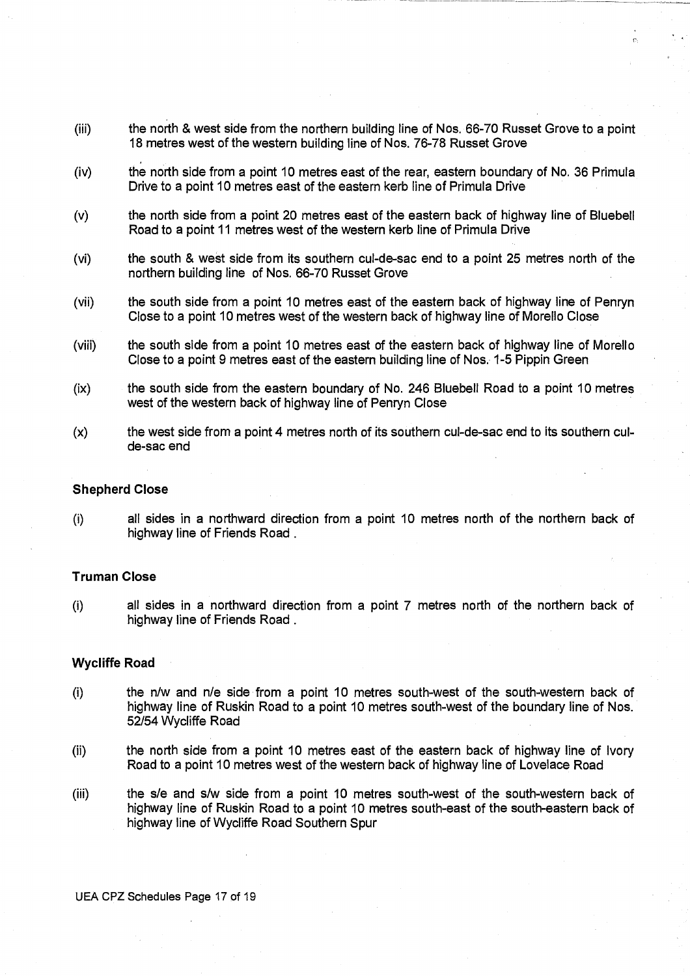- (iii) the north & west side from the northern building line of Nos. 66-70 Russet Grove to a point 18 metres west of the western building line of Nos. 76-78 Russet Grove
- (iv) the north side from a point 10 metres east of the rear, eastern boundary of No. 36 Primula Drive to a point 10 metres east of the eastern kerb line of Primula Drive
- (v) the north side from a point 20 metres east of the eastern back of highway line of Bluebell Road to a point 11 metres west of the western kerb line of Primula Drive
- (vi) the south & west side from its southern cul-de-sac end to a point 25 metres north of the northern building line of Nos. 66-70 Russet Grove
- (vii) the south side from a point 10 metres east of the eastern back of highway line of Penryn Close to a point 10 metres west of the western back of highway line of Morello Close
- (viii) the south side from a point 10 metres east of the eastern back of highway line of Morello Close to a point 9 metres east of the eastern building line of Nos. 1-5 Pippin Green
- (ix) the south side from the eastern boundary of No. 246 Bluebell Road to a point 10 metres west of the western back of highway line of Penryn Close
- (x) the west side from a point 4 metres north of its southern cul-de-sac end to its southern culde-sac end

#### **Shepherd Close**

all sides in a northward direction from a point 10 metres north of the northern back of  $(i)$ highway line of Friends Road .

# **Truman Close**

(i) all sides in a northward direction from a point 7 metres north of the northern back of highway line of Friends Road.

### **Wycliffe Road**

- (i) the n/w and n/e side from a point 10 metres south-west of the south-western back of highway line of Ruskin Road to a point 10 metres south-west of the boundary line of Nos. 52/54 Wycliffe Road
- (ii) the north side from a point 10 metres east of the eastern back of highway line of Ivory Road to a point 10 metres west of the western back of highway line of Lovelace Road
- (iii) the s/e and s/w side from a point 10 metres south-west of the south-western back of highway line of Ruskin Road to a point 10 metres south-east of the south-eastern back of highway line of Wycliffe Road Southern Spur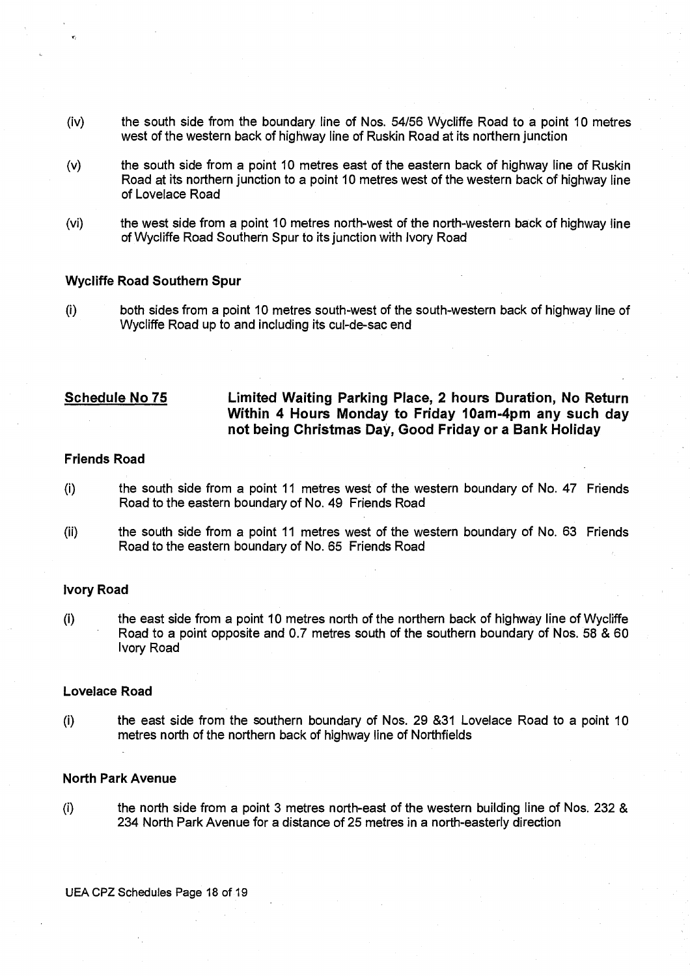- (iv) the south side from the boundary line of Nos. 54/56 Wycliffe Road to a point 10 metres west of the western back of highway line of Ruskin Road at its northern junction
- (v) the south side from a point 10 metres east of the eastern back of highway line of Ruskin Road at its northern junction to a point 10 metres west of the western back of highway line of Lovelace Road
- (vi) the west side from a point 10 metres north-west of the north-western back of highway line of Wycliffe Road Southern Spur to its junction with Ivory Road

## **Wycliffe Road Southern Spur**

(I) both sides from a point 10 metres south-west of the south-western back of highway line of Wycliffe Road up to and including its cul-de-sac end

# **Schedule No 75 Limited Waiting Parking Place, 2 hours Duration, No Return Within 4 Hours Monday to Friday 10am-4pm any such day not being Christmas Day, Good Friday or a Bank Holiday**

#### **Friends Road**

- (i) the south side from a point 11 metres west of the western boundary of No. 47 Friends Road to the eastern boundary of No. 49 Friends Road
- (ii) the south side from a point 11 metres west of the western boundary of No. 63 Friends Road to the eastern boundary of No. 65 Friends Road

#### **Ivory Road**

(i) the east side from a point 10 metres north of the northern back of highway line of Wycliffe • Road to a point opposite and 0.7 metres south of the southern boundary of Nos. 58 & 60 Ivory Road

#### **Lovelace Road**

(i) the east side from the southern boundary of Nos. 29 &31 Lovelace Road to a point 10 metres north of the northern back of highway line of Northfields

#### **North Park Avenue**

(i) the north side from a point 3 metres north-east of the western building line of Nos. 232 & 234 North Park Avenue for a distance of 25 metres in a north-easterly direction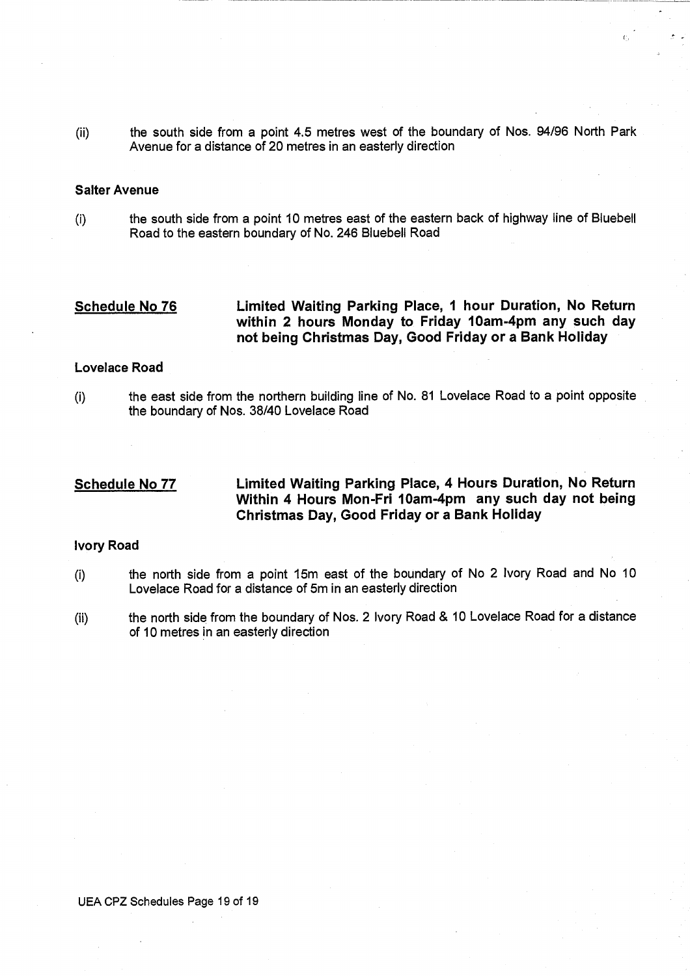(ii) the south side from a point 4.5 metres west of the boundary of Nos. 94/96 North Park Avenue for a distance of 20 metres in an easterly direction

#### **Salter Avenue**

(I) the south side from a point 10 metres east of the eastern back of highway line of Bluebell Road to the eastern boundary of No. 246 Bluebell Road

**Schedule No 76 Limited Waiting Parking Place, 1 hour Duration, No Return within 2 hours Monday to Friday 10am-4pm any such day not being Christmas Day, Good Friday or a Bank Holiday** 

# **Lovelace Road**

(i) the east side from the northern building line of No. 81 Lovelace Road to a point opposite the boundary of Nos. 38/40 Lovelace Road

# **Schedule No 77 Limited Waiting Parking Place, 4 Hours Duration, No Return Within 4 Hours Mon-Fri 10am-4pm any such day not being Christmas Day, Good Friday or a Bank Holiday**

# **Ivory Road**

- (i) the north side from a point 15m east of the boundary of No 2 Ivory Road and No 10 Lovelace Road for a distance of 5m in an easterly direction
- (ii) the north side from the boundary of Nos. 2 Ivory Road & 10 Lovelace Road for a distance of 10 metres in an easterly direction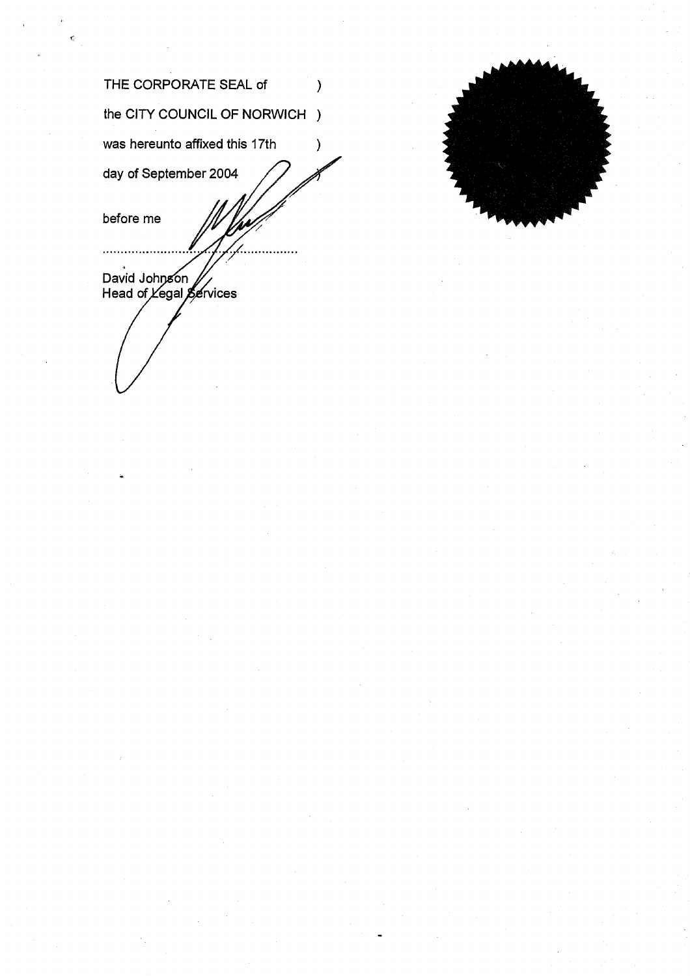| THE CORPORATE SEAL of                          |  |
|------------------------------------------------|--|
| the CITY COUNCIL OF NORWICH                    |  |
| was hereunto affixed this 17th                 |  |
| day of September 2004                          |  |
| before me                                      |  |
| David Johnson<br>Head of <i>Yegal</i> Services |  |
|                                                |  |